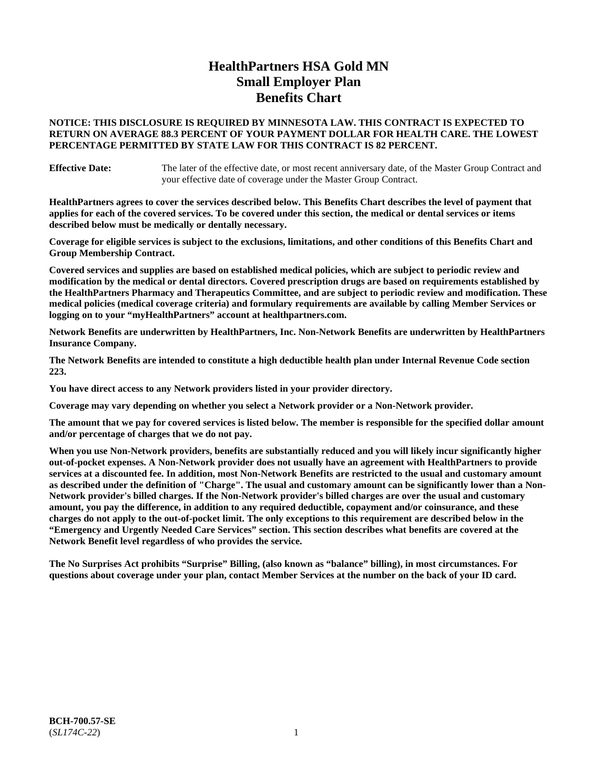# **HealthPartners HSA Gold MN Small Employer Plan Benefits Chart**

## **NOTICE: THIS DISCLOSURE IS REQUIRED BY MINNESOTA LAW. THIS CONTRACT IS EXPECTED TO RETURN ON AVERAGE 88.3 PERCENT OF YOUR PAYMENT DOLLAR FOR HEALTH CARE. THE LOWEST PERCENTAGE PERMITTED BY STATE LAW FOR THIS CONTRACT IS 82 PERCENT.**

**Effective Date:** The later of the effective date, or most recent anniversary date, of the Master Group Contract and your effective date of coverage under the Master Group Contract.

**HealthPartners agrees to cover the services described below. This Benefits Chart describes the level of payment that applies for each of the covered services. To be covered under this section, the medical or dental services or items described below must be medically or dentally necessary.**

**Coverage for eligible services is subject to the exclusions, limitations, and other conditions of this Benefits Chart and Group Membership Contract.**

**Covered services and supplies are based on established medical policies, which are subject to periodic review and modification by the medical or dental directors. Covered prescription drugs are based on requirements established by the HealthPartners Pharmacy and Therapeutics Committee, and are subject to periodic review and modification. These medical policies (medical coverage criteria) and formulary requirements are available by calling Member Services or logging on to your "myHealthPartners" account at [healthpartners.com.](https://www.healthpartners.com/hp/index.html)**

**Network Benefits are underwritten by HealthPartners, Inc. Non-Network Benefits are underwritten by HealthPartners Insurance Company.** 

**The Network Benefits are intended to constitute a high deductible health plan under Internal Revenue Code section 223.** 

**You have direct access to any Network providers listed in your provider directory.**

**Coverage may vary depending on whether you select a Network provider or a Non-Network provider.**

**The amount that we pay for covered services is listed below. The member is responsible for the specified dollar amount and/or percentage of charges that we do not pay.**

**When you use Non-Network providers, benefits are substantially reduced and you will likely incur significantly higher out-of-pocket expenses. A Non-Network provider does not usually have an agreement with HealthPartners to provide services at a discounted fee. In addition, most Non-Network Benefits are restricted to the usual and customary amount as described under the definition of "Charge". The usual and customary amount can be significantly lower than a Non-Network provider's billed charges. If the Non-Network provider's billed charges are over the usual and customary amount, you pay the difference, in addition to any required deductible, copayment and/or coinsurance, and these charges do not apply to the out-of-pocket limit. The only exceptions to this requirement are described below in the "Emergency and Urgently Needed Care Services" section. This section describes what benefits are covered at the Network Benefit level regardless of who provides the service.**

**The No Surprises Act prohibits "Surprise" Billing, (also known as "balance" billing), in most circumstances. For questions about coverage under your plan, contact Member Services at the number on the back of your ID card.**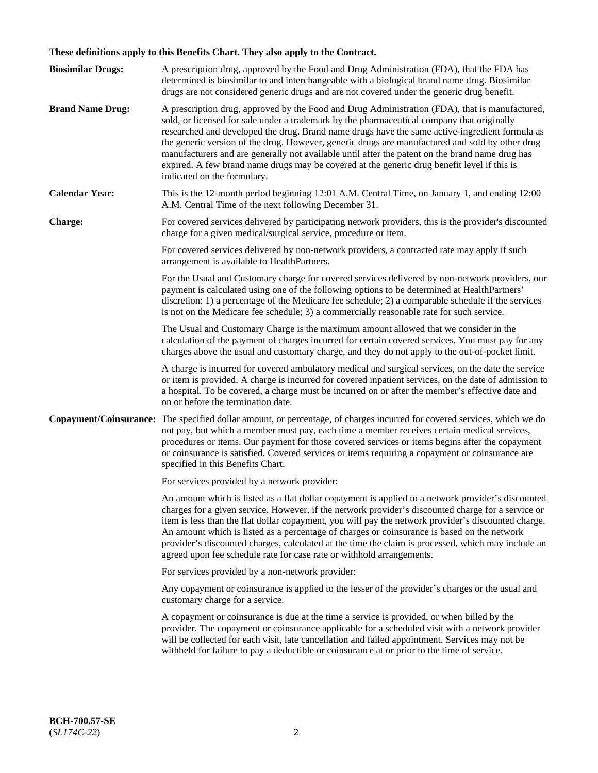# **These definitions apply to this Benefits Chart. They also apply to the Contract.**

| <b>Biosimilar Drugs:</b> | A prescription drug, approved by the Food and Drug Administration (FDA), that the FDA has<br>determined is biosimilar to and interchangeable with a biological brand name drug. Biosimilar<br>drugs are not considered generic drugs and are not covered under the generic drug benefit.                                                                                                                                                                                                                                                                                                                                           |
|--------------------------|------------------------------------------------------------------------------------------------------------------------------------------------------------------------------------------------------------------------------------------------------------------------------------------------------------------------------------------------------------------------------------------------------------------------------------------------------------------------------------------------------------------------------------------------------------------------------------------------------------------------------------|
| <b>Brand Name Drug:</b>  | A prescription drug, approved by the Food and Drug Administration (FDA), that is manufactured,<br>sold, or licensed for sale under a trademark by the pharmaceutical company that originally<br>researched and developed the drug. Brand name drugs have the same active-ingredient formula as<br>the generic version of the drug. However, generic drugs are manufactured and sold by other drug<br>manufacturers and are generally not available until after the patent on the brand name drug has<br>expired. A few brand name drugs may be covered at the generic drug benefit level if this is<br>indicated on the formulary. |
| <b>Calendar Year:</b>    | This is the 12-month period beginning 12:01 A.M. Central Time, on January 1, and ending 12:00<br>A.M. Central Time of the next following December 31.                                                                                                                                                                                                                                                                                                                                                                                                                                                                              |
| <b>Charge:</b>           | For covered services delivered by participating network providers, this is the provider's discounted<br>charge for a given medical/surgical service, procedure or item.                                                                                                                                                                                                                                                                                                                                                                                                                                                            |
|                          | For covered services delivered by non-network providers, a contracted rate may apply if such<br>arrangement is available to HealthPartners.                                                                                                                                                                                                                                                                                                                                                                                                                                                                                        |
|                          | For the Usual and Customary charge for covered services delivered by non-network providers, our<br>payment is calculated using one of the following options to be determined at HealthPartners'<br>discretion: 1) a percentage of the Medicare fee schedule; 2) a comparable schedule if the services<br>is not on the Medicare fee schedule; 3) a commercially reasonable rate for such service.                                                                                                                                                                                                                                  |
|                          | The Usual and Customary Charge is the maximum amount allowed that we consider in the<br>calculation of the payment of charges incurred for certain covered services. You must pay for any<br>charges above the usual and customary charge, and they do not apply to the out-of-pocket limit.                                                                                                                                                                                                                                                                                                                                       |
|                          | A charge is incurred for covered ambulatory medical and surgical services, on the date the service<br>or item is provided. A charge is incurred for covered inpatient services, on the date of admission to<br>a hospital. To be covered, a charge must be incurred on or after the member's effective date and<br>on or before the termination date.                                                                                                                                                                                                                                                                              |
| Copayment/Coinsurance:   | The specified dollar amount, or percentage, of charges incurred for covered services, which we do<br>not pay, but which a member must pay, each time a member receives certain medical services,<br>procedures or items. Our payment for those covered services or items begins after the copayment<br>or coinsurance is satisfied. Covered services or items requiring a copayment or coinsurance are<br>specified in this Benefits Chart.                                                                                                                                                                                        |
|                          | For services provided by a network provider:                                                                                                                                                                                                                                                                                                                                                                                                                                                                                                                                                                                       |
|                          | An amount which is listed as a flat dollar copayment is applied to a network provider's discounted<br>charges for a given service. However, if the network provider's discounted charge for a service or<br>item is less than the flat dollar copayment, you will pay the network provider's discounted charge.<br>An amount which is listed as a percentage of charges or coinsurance is based on the network<br>provider's discounted charges, calculated at the time the claim is processed, which may include an<br>agreed upon fee schedule rate for case rate or withhold arrangements.                                      |
|                          | For services provided by a non-network provider:                                                                                                                                                                                                                                                                                                                                                                                                                                                                                                                                                                                   |
|                          | Any copayment or coinsurance is applied to the lesser of the provider's charges or the usual and<br>customary charge for a service.                                                                                                                                                                                                                                                                                                                                                                                                                                                                                                |
|                          | A copayment or coinsurance is due at the time a service is provided, or when billed by the<br>provider. The copayment or coinsurance applicable for a scheduled visit with a network provider<br>will be collected for each visit, late cancellation and failed appointment. Services may not be<br>withheld for failure to pay a deductible or coinsurance at or prior to the time of service.                                                                                                                                                                                                                                    |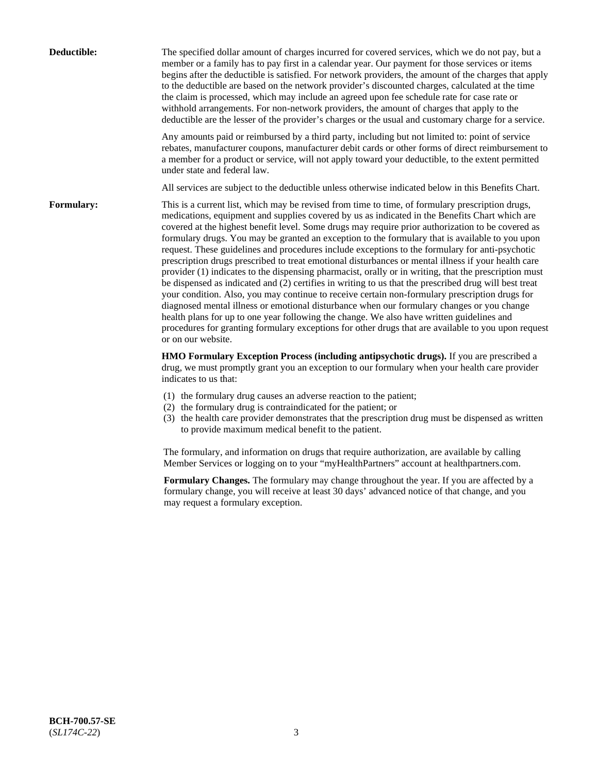| Deductible:       | The specified dollar amount of charges incurred for covered services, which we do not pay, but a<br>member or a family has to pay first in a calendar year. Our payment for those services or items<br>begins after the deductible is satisfied. For network providers, the amount of the charges that apply<br>to the deductible are based on the network provider's discounted charges, calculated at the time<br>the claim is processed, which may include an agreed upon fee schedule rate for case rate or<br>withhold arrangements. For non-network providers, the amount of charges that apply to the<br>deductible are the lesser of the provider's charges or the usual and customary charge for a service.                                                                                                                                                                                                                                                                                                                                                                                                                                                                                                                                             |
|-------------------|------------------------------------------------------------------------------------------------------------------------------------------------------------------------------------------------------------------------------------------------------------------------------------------------------------------------------------------------------------------------------------------------------------------------------------------------------------------------------------------------------------------------------------------------------------------------------------------------------------------------------------------------------------------------------------------------------------------------------------------------------------------------------------------------------------------------------------------------------------------------------------------------------------------------------------------------------------------------------------------------------------------------------------------------------------------------------------------------------------------------------------------------------------------------------------------------------------------------------------------------------------------|
|                   | Any amounts paid or reimbursed by a third party, including but not limited to: point of service<br>rebates, manufacturer coupons, manufacturer debit cards or other forms of direct reimbursement to<br>a member for a product or service, will not apply toward your deductible, to the extent permitted<br>under state and federal law.                                                                                                                                                                                                                                                                                                                                                                                                                                                                                                                                                                                                                                                                                                                                                                                                                                                                                                                        |
|                   | All services are subject to the deductible unless otherwise indicated below in this Benefits Chart.                                                                                                                                                                                                                                                                                                                                                                                                                                                                                                                                                                                                                                                                                                                                                                                                                                                                                                                                                                                                                                                                                                                                                              |
| <b>Formulary:</b> | This is a current list, which may be revised from time to time, of formulary prescription drugs,<br>medications, equipment and supplies covered by us as indicated in the Benefits Chart which are<br>covered at the highest benefit level. Some drugs may require prior authorization to be covered as<br>formulary drugs. You may be granted an exception to the formulary that is available to you upon<br>request. These guidelines and procedures include exceptions to the formulary for anti-psychotic<br>prescription drugs prescribed to treat emotional disturbances or mental illness if your health care<br>provider (1) indicates to the dispensing pharmacist, orally or in writing, that the prescription must<br>be dispensed as indicated and (2) certifies in writing to us that the prescribed drug will best treat<br>your condition. Also, you may continue to receive certain non-formulary prescription drugs for<br>diagnosed mental illness or emotional disturbance when our formulary changes or you change<br>health plans for up to one year following the change. We also have written guidelines and<br>procedures for granting formulary exceptions for other drugs that are available to you upon request<br>or on our website. |
|                   | HMO Formulary Exception Process (including antipsychotic drugs). If you are prescribed a<br>drug, we must promptly grant you an exception to our formulary when your health care provider<br>indicates to us that:                                                                                                                                                                                                                                                                                                                                                                                                                                                                                                                                                                                                                                                                                                                                                                                                                                                                                                                                                                                                                                               |
|                   | (1) the formulary drug causes an adverse reaction to the patient;<br>(2) the formulary drug is contraindicated for the patient; or<br>(3) the health care provider demonstrates that the prescription drug must be dispensed as written<br>to provide maximum medical benefit to the patient.                                                                                                                                                                                                                                                                                                                                                                                                                                                                                                                                                                                                                                                                                                                                                                                                                                                                                                                                                                    |
|                   | The formulary, and information on drugs that require authorization, are available by calling<br>Member Services or logging on to your "myHealthPartners" account at healthpartners.com.                                                                                                                                                                                                                                                                                                                                                                                                                                                                                                                                                                                                                                                                                                                                                                                                                                                                                                                                                                                                                                                                          |
|                   | Formulary Changes. The formulary may change throughout the year. If you are affected by a<br>formulary change, you will receive at least 30 days' advanced notice of that change, and you<br>may request a formulary exception.                                                                                                                                                                                                                                                                                                                                                                                                                                                                                                                                                                                                                                                                                                                                                                                                                                                                                                                                                                                                                                  |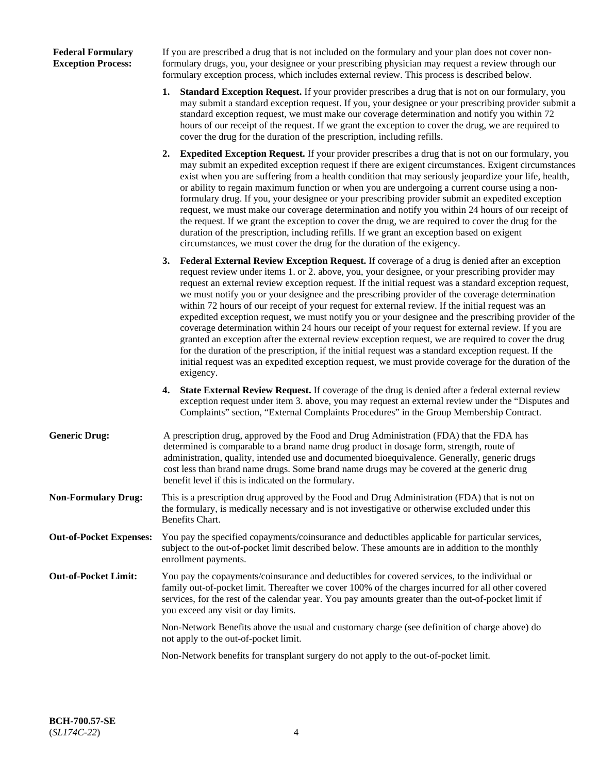## **Federal Formulary Exception Process:**

If you are prescribed a drug that is not included on the formulary and your plan does not cover nonformulary drugs, you, your designee or your prescribing physician may request a review through our formulary exception process, which includes external review. This process is described below.

- **1. Standard Exception Request.** If your provider prescribes a drug that is not on our formulary, you may submit a standard exception request. If you, your designee or your prescribing provider submit a standard exception request, we must make our coverage determination and notify you within 72 hours of our receipt of the request. If we grant the exception to cover the drug, we are required to cover the drug for the duration of the prescription, including refills.
- **2. Expedited Exception Request.** If your provider prescribes a drug that is not on our formulary, you may submit an expedited exception request if there are exigent circumstances. Exigent circumstances exist when you are suffering from a health condition that may seriously jeopardize your life, health, or ability to regain maximum function or when you are undergoing a current course using a nonformulary drug. If you, your designee or your prescribing provider submit an expedited exception request, we must make our coverage determination and notify you within 24 hours of our receipt of the request. If we grant the exception to cover the drug, we are required to cover the drug for the duration of the prescription, including refills. If we grant an exception based on exigent circumstances, we must cover the drug for the duration of the exigency.
- **3. Federal External Review Exception Request.** If coverage of a drug is denied after an exception request review under items 1. or 2. above, you, your designee, or your prescribing provider may request an external review exception request. If the initial request was a standard exception request, we must notify you or your designee and the prescribing provider of the coverage determination within 72 hours of our receipt of your request for external review. If the initial request was an expedited exception request, we must notify you or your designee and the prescribing provider of the coverage determination within 24 hours our receipt of your request for external review. If you are granted an exception after the external review exception request, we are required to cover the drug for the duration of the prescription, if the initial request was a standard exception request. If the initial request was an expedited exception request, we must provide coverage for the duration of the exigency.
- **4. State External Review Request.** If coverage of the drug is denied after a federal external review exception request under item 3. above, you may request an external review under the "Disputes and Complaints" section, "External Complaints Procedures" in the Group Membership Contract.
- **Generic Drug:** A prescription drug, approved by the Food and Drug Administration (FDA) that the FDA has determined is comparable to a brand name drug product in dosage form, strength, route of administration, quality, intended use and documented bioequivalence. Generally, generic drugs cost less than brand name drugs. Some brand name drugs may be covered at the generic drug benefit level if this is indicated on the formulary.
- **Non-Formulary Drug:** This is a prescription drug approved by the Food and Drug Administration (FDA) that is not on the formulary, is medically necessary and is not investigative or otherwise excluded under this Benefits Chart.
- **Out-of-Pocket Expenses:** You pay the specified copayments/coinsurance and deductibles applicable for particular services, subject to the out-of-pocket limit described below. These amounts are in addition to the monthly enrollment payments.
- **Out-of-Pocket Limit:** You pay the copayments/coinsurance and deductibles for covered services, to the individual or family out-of-pocket limit. Thereafter we cover 100% of the charges incurred for all other covered services, for the rest of the calendar year. You pay amounts greater than the out-of-pocket limit if you exceed any visit or day limits.

Non-Network Benefits above the usual and customary charge (see definition of charge above) do not apply to the out-of-pocket limit.

Non-Network benefits for transplant surgery do not apply to the out-of-pocket limit.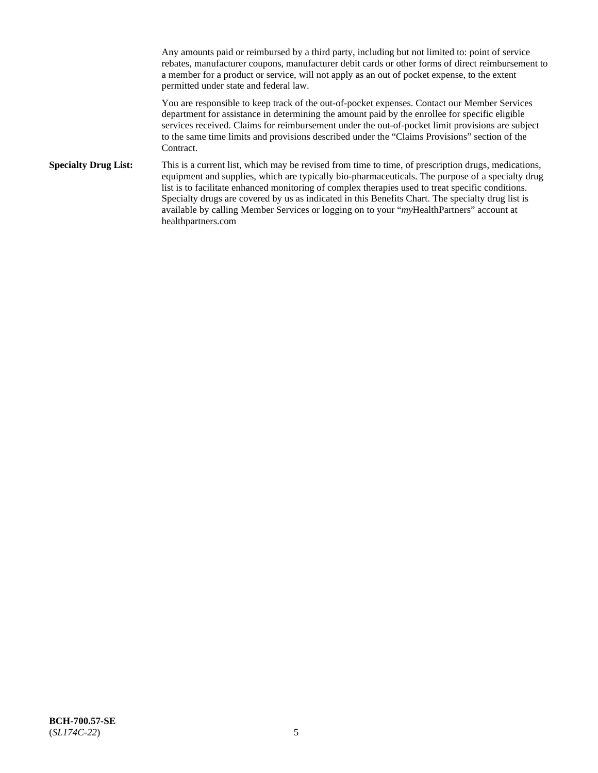Any amounts paid or reimbursed by a third party, including but not limited to: point of service rebates, manufacturer coupons, manufacturer debit cards or other forms of direct reimbursement to a member for a product or service, will not apply as an out of pocket expense, to the extent permitted under state and federal law.

You are responsible to keep track of the out-of-pocket expenses. Contact our Member Services department for assistance in determining the amount paid by the enrollee for specific eligible services received. Claims for reimbursement under the out-of-pocket limit provisions are subject to the same time limits and provisions described under the "Claims Provisions" section of the Contract.

**Specialty Drug List:** This is a current list, which may be revised from time to time, of prescription drugs, medications, equipment and supplies, which are typically bio-pharmaceuticals. The purpose of a specialty drug list is to facilitate enhanced monitoring of complex therapies used to treat specific conditions. Specialty drugs are covered by us as indicated in this Benefits Chart. The specialty drug list is available by calling Member Services or logging on to your "*my*HealthPartners" account at [healthpartners.com](https://www.healthpartners.com/hp/index.html)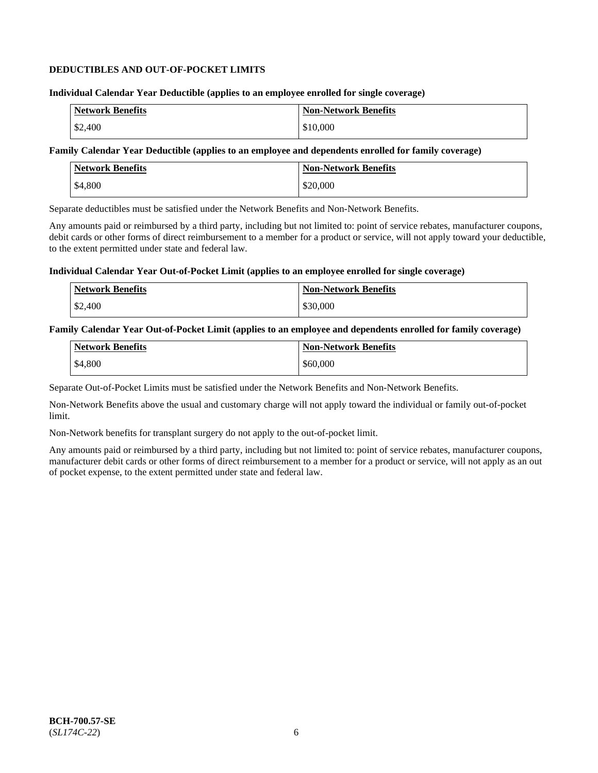## **DEDUCTIBLES AND OUT-OF-POCKET LIMITS**

### **Individual Calendar Year Deductible (applies to an employee enrolled for single coverage)**

| <b>Network Benefits</b> | <b>Non-Network Benefits</b> |
|-------------------------|-----------------------------|
| \$2,400                 | \$10,000                    |

## **Family Calendar Year Deductible (applies to an employee and dependents enrolled for family coverage)**

| <b>Network Benefits</b> | <b>Non-Network Benefits</b> |
|-------------------------|-----------------------------|
| \$4,800                 | \$20,000                    |

Separate deductibles must be satisfied under the Network Benefits and Non-Network Benefits.

Any amounts paid or reimbursed by a third party, including but not limited to: point of service rebates, manufacturer coupons, debit cards or other forms of direct reimbursement to a member for a product or service, will not apply toward your deductible, to the extent permitted under state and federal law.

## **Individual Calendar Year Out-of-Pocket Limit (applies to an employee enrolled for single coverage)**

| Network Benefits | <b>Non-Network Benefits</b> |
|------------------|-----------------------------|
| \$2,400          | \$30,000                    |

### **Family Calendar Year Out-of-Pocket Limit (applies to an employee and dependents enrolled for family coverage)**

| <b>Network Benefits</b> | Non-Network Benefits |
|-------------------------|----------------------|
| \$4,800                 | \$60,000             |

Separate Out-of-Pocket Limits must be satisfied under the Network Benefits and Non-Network Benefits.

Non-Network Benefits above the usual and customary charge will not apply toward the individual or family out-of-pocket limit.

Non-Network benefits for transplant surgery do not apply to the out-of-pocket limit.

Any amounts paid or reimbursed by a third party, including but not limited to: point of service rebates, manufacturer coupons, manufacturer debit cards or other forms of direct reimbursement to a member for a product or service, will not apply as an out of pocket expense, to the extent permitted under state and federal law.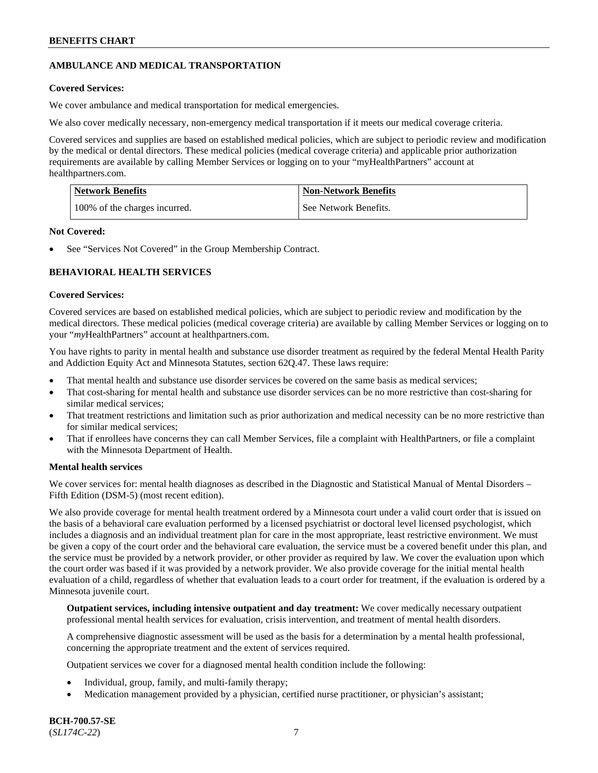## **AMBULANCE AND MEDICAL TRANSPORTATION**

## **Covered Services:**

We cover ambulance and medical transportation for medical emergencies.

We also cover medically necessary, non-emergency medical transportation if it meets our medical coverage criteria.

Covered services and supplies are based on established medical policies, which are subject to periodic review and modification by the medical or dental directors. These medical policies (medical coverage criteria) and applicable prior authorization requirements are available by calling Member Services or logging on to your "myHealthPartners" account at [healthpartners.com.](https://www.healthpartners.com/hp/index.html)

| <b>Network Benefits</b>       | <b>Non-Network Benefits</b> |
|-------------------------------|-----------------------------|
| 100% of the charges incurred. | See Network Benefits.       |

### **Not Covered:**

See "Services Not Covered" in the Group Membership Contract.

## **BEHAVIORAL HEALTH SERVICES**

### **Covered Services:**

Covered services are based on established medical policies, which are subject to periodic review and modification by the medical directors. These medical policies (medical coverage criteria) are available by calling Member Services or logging on to your "*my*HealthPartners" account at [healthpartners.com.](http://www.healthpartners.com/)

You have rights to parity in mental health and substance use disorder treatment as required by the federal Mental Health Parity and Addiction Equity Act and Minnesota Statutes, section 62Q.47. These laws require:

- That mental health and substance use disorder services be covered on the same basis as medical services;
- That cost-sharing for mental health and substance use disorder services can be no more restrictive than cost-sharing for similar medical services;
- That treatment restrictions and limitation such as prior authorization and medical necessity can be no more restrictive than for similar medical services;
- That if enrollees have concerns they can call Member Services, file a complaint with HealthPartners, or file a complaint with the Minnesota Department of Health.

## **Mental health services**

We cover services for: mental health diagnoses as described in the Diagnostic and Statistical Manual of Mental Disorders – Fifth Edition (DSM-5) (most recent edition).

We also provide coverage for mental health treatment ordered by a Minnesota court under a valid court order that is issued on the basis of a behavioral care evaluation performed by a licensed psychiatrist or doctoral level licensed psychologist, which includes a diagnosis and an individual treatment plan for care in the most appropriate, least restrictive environment. We must be given a copy of the court order and the behavioral care evaluation, the service must be a covered benefit under this plan, and the service must be provided by a network provider, or other provider as required by law. We cover the evaluation upon which the court order was based if it was provided by a network provider. We also provide coverage for the initial mental health evaluation of a child, regardless of whether that evaluation leads to a court order for treatment, if the evaluation is ordered by a Minnesota juvenile court.

**Outpatient services, including intensive outpatient and day treatment:** We cover medically necessary outpatient professional mental health services for evaluation, crisis intervention, and treatment of mental health disorders.

A comprehensive diagnostic assessment will be used as the basis for a determination by a mental health professional, concerning the appropriate treatment and the extent of services required.

Outpatient services we cover for a diagnosed mental health condition include the following:

- Individual, group, family, and multi-family therapy;
- Medication management provided by a physician, certified nurse practitioner, or physician's assistant;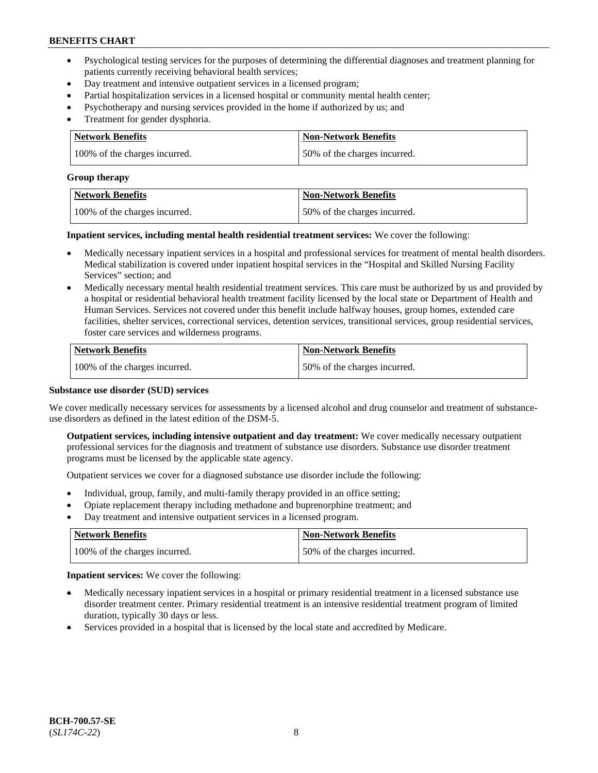- Psychological testing services for the purposes of determining the differential diagnoses and treatment planning for patients currently receiving behavioral health services;
- Day treatment and intensive outpatient services in a licensed program;
- Partial hospitalization services in a licensed hospital or community mental health center;
- Psychotherapy and nursing services provided in the home if authorized by us; and
- Treatment for gender dysphoria.

| Network Benefits              | <b>Non-Network Benefits</b>  |
|-------------------------------|------------------------------|
| 100% of the charges incurred. | 50% of the charges incurred. |

#### **Group therapy**

| Network Benefits              | <b>Non-Network Benefits</b>  |
|-------------------------------|------------------------------|
| 100% of the charges incurred. | 50% of the charges incurred. |

**Inpatient services, including mental health residential treatment services:** We cover the following:

- Medically necessary inpatient services in a hospital and professional services for treatment of mental health disorders. Medical stabilization is covered under inpatient hospital services in the "Hospital and Skilled Nursing Facility Services" section; and
- Medically necessary mental health residential treatment services. This care must be authorized by us and provided by a hospital or residential behavioral health treatment facility licensed by the local state or Department of Health and Human Services. Services not covered under this benefit include halfway houses, group homes, extended care facilities, shelter services, correctional services, detention services, transitional services, group residential services, foster care services and wilderness programs.

| <b>Network Benefits</b>       | <b>Non-Network Benefits</b>  |
|-------------------------------|------------------------------|
| 100% of the charges incurred. | 50% of the charges incurred. |

## **Substance use disorder (SUD) services**

We cover medically necessary services for assessments by a licensed alcohol and drug counselor and treatment of substanceuse disorders as defined in the latest edition of the DSM-5.

**Outpatient services, including intensive outpatient and day treatment:** We cover medically necessary outpatient professional services for the diagnosis and treatment of substance use disorders. Substance use disorder treatment programs must be licensed by the applicable state agency.

Outpatient services we cover for a diagnosed substance use disorder include the following:

- Individual, group, family, and multi-family therapy provided in an office setting;
- Opiate replacement therapy including methadone and buprenorphine treatment; and
- Day treatment and intensive outpatient services in a licensed program.

| Network Benefits              | <b>Non-Network Benefits</b>  |
|-------------------------------|------------------------------|
| 100% of the charges incurred. | 50% of the charges incurred. |

**Inpatient services:** We cover the following:

- Medically necessary inpatient services in a hospital or primary residential treatment in a licensed substance use disorder treatment center. Primary residential treatment is an intensive residential treatment program of limited duration, typically 30 days or less.
- Services provided in a hospital that is licensed by the local state and accredited by Medicare.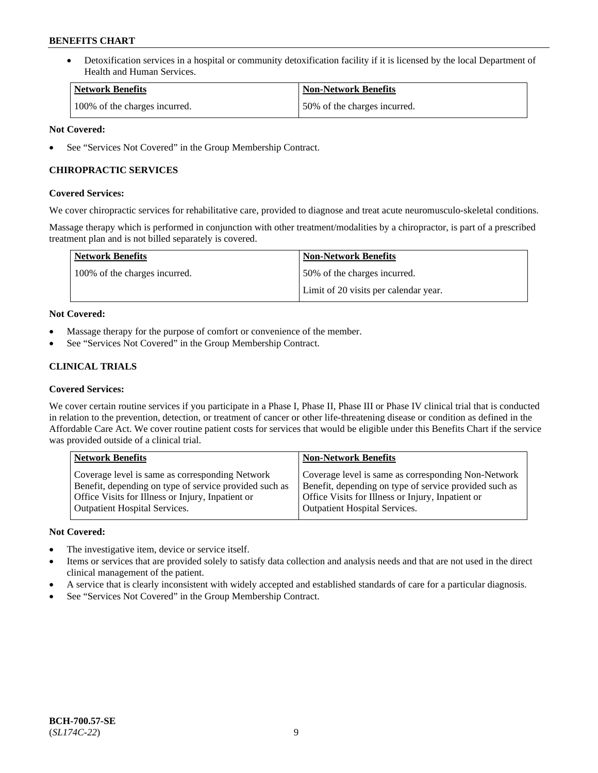• Detoxification services in a hospital or community detoxification facility if it is licensed by the local Department of Health and Human Services.

| <b>Network Benefits</b>       | <b>Non-Network Benefits</b>  |
|-------------------------------|------------------------------|
| 100% of the charges incurred. | 50% of the charges incurred. |

## **Not Covered:**

See "Services Not Covered" in the Group Membership Contract.

## **CHIROPRACTIC SERVICES**

## **Covered Services:**

We cover chiropractic services for rehabilitative care, provided to diagnose and treat acute neuromusculo-skeletal conditions.

Massage therapy which is performed in conjunction with other treatment/modalities by a chiropractor, is part of a prescribed treatment plan and is not billed separately is covered.

| Network Benefits              | <b>Non-Network Benefits</b>           |
|-------------------------------|---------------------------------------|
| 100% of the charges incurred. | 50% of the charges incurred.          |
|                               | Limit of 20 visits per calendar year. |

## **Not Covered:**

- Massage therapy for the purpose of comfort or convenience of the member.
- See "Services Not Covered" in the Group Membership Contract.

## **CLINICAL TRIALS**

## **Covered Services:**

We cover certain routine services if you participate in a Phase I, Phase II, Phase III or Phase IV clinical trial that is conducted in relation to the prevention, detection, or treatment of cancer or other life-threatening disease or condition as defined in the Affordable Care Act. We cover routine patient costs for services that would be eligible under this Benefits Chart if the service was provided outside of a clinical trial.

| <b>Network Benefits</b>                                                                                                                                                                                | <b>Non-Network Benefits</b>                                                                                                                                                                         |
|--------------------------------------------------------------------------------------------------------------------------------------------------------------------------------------------------------|-----------------------------------------------------------------------------------------------------------------------------------------------------------------------------------------------------|
| Coverage level is same as corresponding Network<br>Benefit, depending on type of service provided such as<br>Office Visits for Illness or Injury, Inpatient or<br><b>Outpatient Hospital Services.</b> | Coverage level is same as corresponding Non-Network<br>Benefit, depending on type of service provided such as<br>Office Visits for Illness or Injury, Inpatient or<br>Outpatient Hospital Services. |
|                                                                                                                                                                                                        |                                                                                                                                                                                                     |

## **Not Covered:**

- The investigative item, device or service itself.
- Items or services that are provided solely to satisfy data collection and analysis needs and that are not used in the direct clinical management of the patient.
- A service that is clearly inconsistent with widely accepted and established standards of care for a particular diagnosis.
- See "Services Not Covered" in the Group Membership Contract.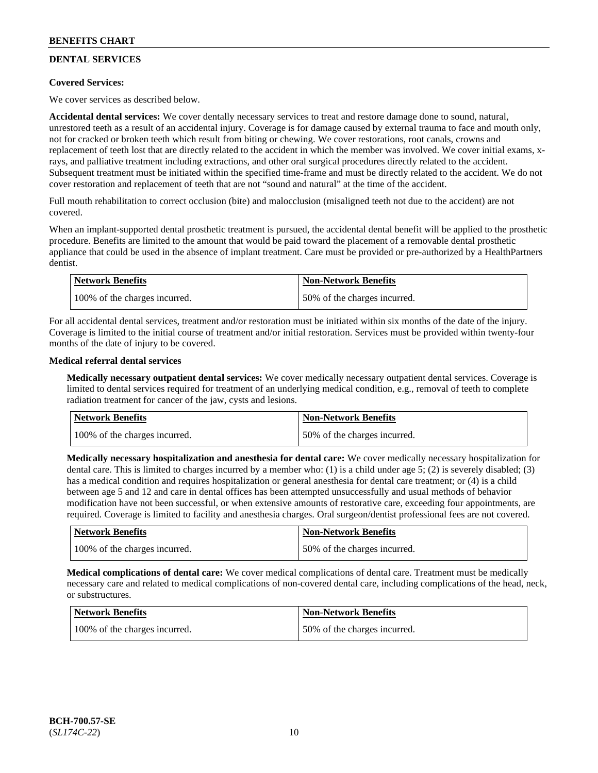## **DENTAL SERVICES**

## **Covered Services:**

We cover services as described below.

**Accidental dental services:** We cover dentally necessary services to treat and restore damage done to sound, natural, unrestored teeth as a result of an accidental injury. Coverage is for damage caused by external trauma to face and mouth only, not for cracked or broken teeth which result from biting or chewing. We cover restorations, root canals, crowns and replacement of teeth lost that are directly related to the accident in which the member was involved. We cover initial exams, xrays, and palliative treatment including extractions, and other oral surgical procedures directly related to the accident. Subsequent treatment must be initiated within the specified time-frame and must be directly related to the accident. We do not cover restoration and replacement of teeth that are not "sound and natural" at the time of the accident.

Full mouth rehabilitation to correct occlusion (bite) and malocclusion (misaligned teeth not due to the accident) are not covered.

When an implant-supported dental prosthetic treatment is pursued, the accidental dental benefit will be applied to the prosthetic procedure. Benefits are limited to the amount that would be paid toward the placement of a removable dental prosthetic appliance that could be used in the absence of implant treatment. Care must be provided or pre-authorized by a HealthPartners dentist.

| Network Benefits              | <b>Non-Network Benefits</b>  |
|-------------------------------|------------------------------|
| 100% of the charges incurred. | 50% of the charges incurred. |

For all accidental dental services, treatment and/or restoration must be initiated within six months of the date of the injury. Coverage is limited to the initial course of treatment and/or initial restoration. Services must be provided within twenty-four months of the date of injury to be covered.

## **Medical referral dental services**

**Medically necessary outpatient dental services:** We cover medically necessary outpatient dental services. Coverage is limited to dental services required for treatment of an underlying medical condition, e.g., removal of teeth to complete radiation treatment for cancer of the jaw, cysts and lesions.

| Network Benefits              | <b>Non-Network Benefits</b>  |
|-------------------------------|------------------------------|
| 100% of the charges incurred. | 50% of the charges incurred. |

**Medically necessary hospitalization and anesthesia for dental care:** We cover medically necessary hospitalization for dental care. This is limited to charges incurred by a member who: (1) is a child under age 5; (2) is severely disabled; (3) has a medical condition and requires hospitalization or general anesthesia for dental care treatment; or (4) is a child between age 5 and 12 and care in dental offices has been attempted unsuccessfully and usual methods of behavior modification have not been successful, or when extensive amounts of restorative care, exceeding four appointments, are required. Coverage is limited to facility and anesthesia charges. Oral surgeon/dentist professional fees are not covered.

| <b>Network Benefits</b>       | <b>Non-Network Benefits</b>  |
|-------------------------------|------------------------------|
| 100% of the charges incurred. | 50% of the charges incurred. |

**Medical complications of dental care:** We cover medical complications of dental care. Treatment must be medically necessary care and related to medical complications of non-covered dental care, including complications of the head, neck, or substructures.

| <b>Network Benefits</b>       | <b>Non-Network Benefits</b>  |
|-------------------------------|------------------------------|
| 100% of the charges incurred. | 50% of the charges incurred. |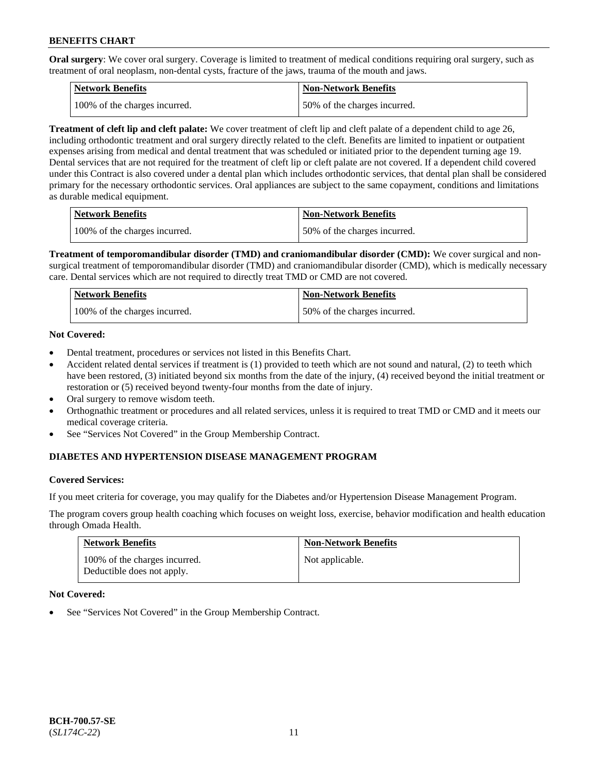**Oral surgery**: We cover oral surgery. Coverage is limited to treatment of medical conditions requiring oral surgery, such as treatment of oral neoplasm, non-dental cysts, fracture of the jaws, trauma of the mouth and jaws.

| Network Benefits              | <b>Non-Network Benefits</b>  |
|-------------------------------|------------------------------|
| 100% of the charges incurred. | 50% of the charges incurred. |

**Treatment of cleft lip and cleft palate:** We cover treatment of cleft lip and cleft palate of a dependent child to age 26, including orthodontic treatment and oral surgery directly related to the cleft. Benefits are limited to inpatient or outpatient expenses arising from medical and dental treatment that was scheduled or initiated prior to the dependent turning age 19. Dental services that are not required for the treatment of cleft lip or cleft palate are not covered. If a dependent child covered under this Contract is also covered under a dental plan which includes orthodontic services, that dental plan shall be considered primary for the necessary orthodontic services. Oral appliances are subject to the same copayment, conditions and limitations as durable medical equipment.

| <b>Network Benefits</b>       | <b>Non-Network Benefits</b>  |
|-------------------------------|------------------------------|
| 100% of the charges incurred. | 50% of the charges incurred. |

**Treatment of temporomandibular disorder (TMD) and craniomandibular disorder (CMD):** We cover surgical and nonsurgical treatment of temporomandibular disorder (TMD) and craniomandibular disorder (CMD), which is medically necessary care. Dental services which are not required to directly treat TMD or CMD are not covered.

| Network Benefits              | <b>Non-Network Benefits</b>  |
|-------------------------------|------------------------------|
| 100% of the charges incurred. | 50% of the charges incurred. |

## **Not Covered:**

- Dental treatment, procedures or services not listed in this Benefits Chart.
- Accident related dental services if treatment is (1) provided to teeth which are not sound and natural, (2) to teeth which have been restored, (3) initiated beyond six months from the date of the injury, (4) received beyond the initial treatment or restoration or (5) received beyond twenty-four months from the date of injury.
- Oral surgery to remove wisdom teeth.
- Orthognathic treatment or procedures and all related services, unless it is required to treat TMD or CMD and it meets our medical coverage criteria.
- See "Services Not Covered" in the Group Membership Contract.

## **DIABETES AND HYPERTENSION DISEASE MANAGEMENT PROGRAM**

#### **Covered Services:**

If you meet criteria for coverage, you may qualify for the Diabetes and/or Hypertension Disease Management Program.

The program covers group health coaching which focuses on weight loss, exercise, behavior modification and health education through Omada Health.

| <b>Network Benefits</b>                                     | <b>Non-Network Benefits</b> |
|-------------------------------------------------------------|-----------------------------|
| 100% of the charges incurred.<br>Deductible does not apply. | Not applicable.             |

#### **Not Covered:**

See "Services Not Covered" in the Group Membership Contract.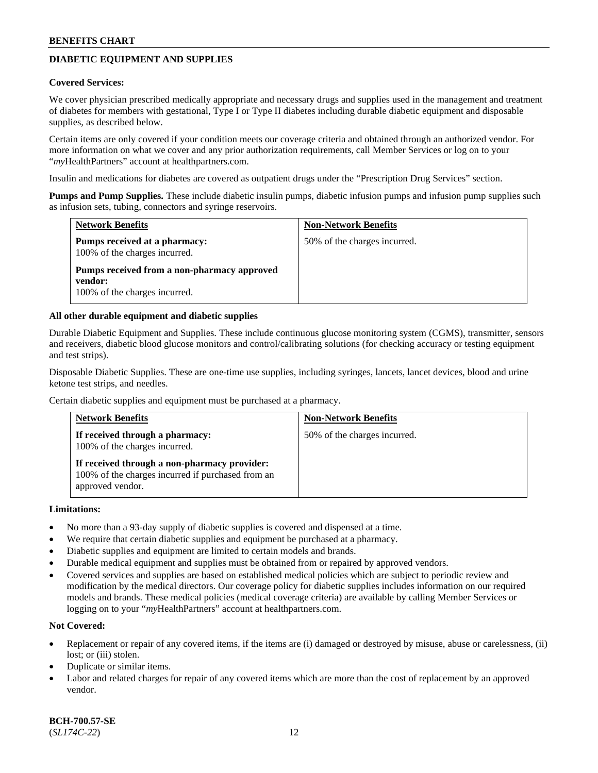## **DIABETIC EQUIPMENT AND SUPPLIES**

#### **Covered Services:**

We cover physician prescribed medically appropriate and necessary drugs and supplies used in the management and treatment of diabetes for members with gestational, Type I or Type II diabetes including durable diabetic equipment and disposable supplies, as described below.

Certain items are only covered if your condition meets our coverage criteria and obtained through an authorized vendor. For more information on what we cover and any prior authorization requirements, call Member Services or log on to your "*my*HealthPartners" account at [healthpartners.com.](http://www.healthpartners.com/)

Insulin and medications for diabetes are covered as outpatient drugs under the "Prescription Drug Services" section.

**Pumps and Pump Supplies.** These include diabetic insulin pumps, diabetic infusion pumps and infusion pump supplies such as infusion sets, tubing, connectors and syringe reservoirs.

| <b>Network Benefits</b>                                                                 | <b>Non-Network Benefits</b>  |
|-----------------------------------------------------------------------------------------|------------------------------|
| <b>Pumps received at a pharmacy:</b><br>100% of the charges incurred.                   | 50% of the charges incurred. |
| Pumps received from a non-pharmacy approved<br>vendor:<br>100% of the charges incurred. |                              |

### **All other durable equipment and diabetic supplies**

Durable Diabetic Equipment and Supplies. These include continuous glucose monitoring system (CGMS), transmitter, sensors and receivers, diabetic blood glucose monitors and control/calibrating solutions (for checking accuracy or testing equipment and test strips).

Disposable Diabetic Supplies. These are one-time use supplies, including syringes, lancets, lancet devices, blood and urine ketone test strips, and needles.

Certain diabetic supplies and equipment must be purchased at a pharmacy.

| <b>Network Benefits</b>                                                                                               | <b>Non-Network Benefits</b>  |
|-----------------------------------------------------------------------------------------------------------------------|------------------------------|
| If received through a pharmacy:<br>100% of the charges incurred.                                                      | 50% of the charges incurred. |
| If received through a non-pharmacy provider:<br>100% of the charges incurred if purchased from an<br>approved vendor. |                              |

#### **Limitations:**

- No more than a 93-day supply of diabetic supplies is covered and dispensed at a time.
- We require that certain diabetic supplies and equipment be purchased at a pharmacy.
- Diabetic supplies and equipment are limited to certain models and brands.
- Durable medical equipment and supplies must be obtained from or repaired by approved vendors.
- Covered services and supplies are based on established medical policies which are subject to periodic review and modification by the medical directors. Our coverage policy for diabetic supplies includes information on our required models and brands. These medical policies (medical coverage criteria) are available by calling Member Services or logging on to your "*my*HealthPartners" account at [healthpartners.com.](http://www.healthpartners.com/)

## **Not Covered:**

- Replacement or repair of any covered items, if the items are (i) damaged or destroyed by misuse, abuse or carelessness, (ii) lost; or (iii) stolen.
- Duplicate or similar items.
- Labor and related charges for repair of any covered items which are more than the cost of replacement by an approved vendor.

**BCH-700.57-SE** (*SL174C-22*) 12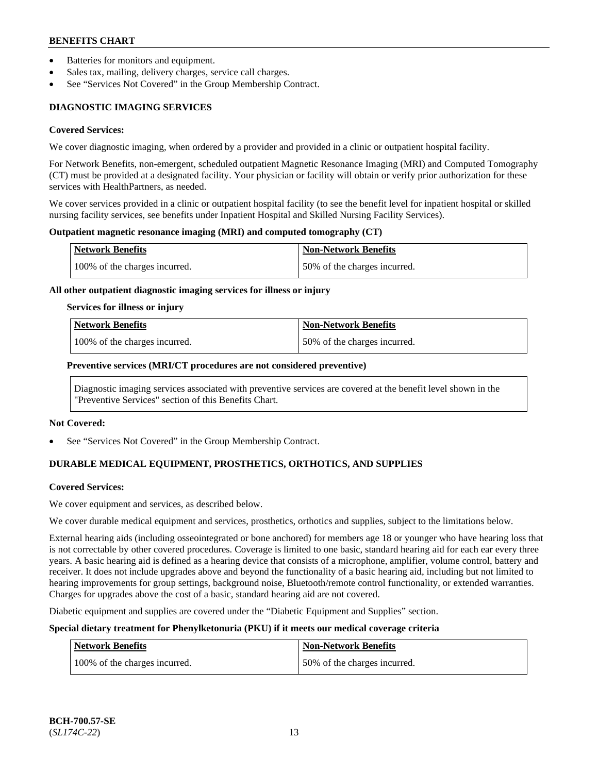- Batteries for monitors and equipment.
- Sales tax, mailing, delivery charges, service call charges.
- See "Services Not Covered" in the Group Membership Contract.

# **DIAGNOSTIC IMAGING SERVICES**

## **Covered Services:**

We cover diagnostic imaging, when ordered by a provider and provided in a clinic or outpatient hospital facility.

For Network Benefits, non-emergent, scheduled outpatient Magnetic Resonance Imaging (MRI) and Computed Tomography (CT) must be provided at a designated facility. Your physician or facility will obtain or verify prior authorization for these services with HealthPartners, as needed.

We cover services provided in a clinic or outpatient hospital facility (to see the benefit level for inpatient hospital or skilled nursing facility services, see benefits under Inpatient Hospital and Skilled Nursing Facility Services).

## **Outpatient magnetic resonance imaging (MRI) and computed tomography (CT)**

| <b>Network Benefits</b>       | <b>Non-Network Benefits</b>  |
|-------------------------------|------------------------------|
| 100% of the charges incurred. | 50% of the charges incurred. |

## **All other outpatient diagnostic imaging services for illness or injury**

## **Services for illness or injury**

| Network Benefits              | <b>Non-Network Benefits</b>  |
|-------------------------------|------------------------------|
| 100% of the charges incurred. | 50% of the charges incurred. |

## **Preventive services (MRI/CT procedures are not considered preventive)**

Diagnostic imaging services associated with preventive services are covered at the benefit level shown in the "Preventive Services" section of this Benefits Chart.

## **Not Covered:**

See "Services Not Covered" in the Group Membership Contract.

# **DURABLE MEDICAL EQUIPMENT, PROSTHETICS, ORTHOTICS, AND SUPPLIES**

## **Covered Services:**

We cover equipment and services, as described below.

We cover durable medical equipment and services, prosthetics, orthotics and supplies, subject to the limitations below.

External hearing aids (including osseointegrated or bone anchored) for members age 18 or younger who have hearing loss that is not correctable by other covered procedures. Coverage is limited to one basic, standard hearing aid for each ear every three years. A basic hearing aid is defined as a hearing device that consists of a microphone, amplifier, volume control, battery and receiver. It does not include upgrades above and beyond the functionality of a basic hearing aid, including but not limited to hearing improvements for group settings, background noise, Bluetooth/remote control functionality, or extended warranties. Charges for upgrades above the cost of a basic, standard hearing aid are not covered.

Diabetic equipment and supplies are covered under the "Diabetic Equipment and Supplies" section.

## **Special dietary treatment for Phenylketonuria (PKU) if it meets our medical coverage criteria**

| <b>Network Benefits</b>       | <b>Non-Network Benefits</b>  |
|-------------------------------|------------------------------|
| 100% of the charges incurred. | 50% of the charges incurred. |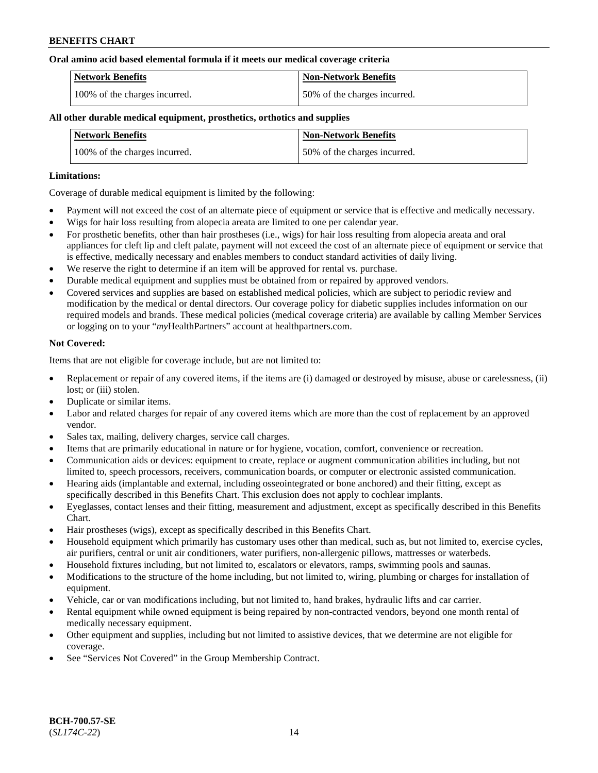### **Oral amino acid based elemental formula if it meets our medical coverage criteria**

| Network Benefits              | <b>Non-Network Benefits</b>  |
|-------------------------------|------------------------------|
| 100% of the charges incurred. | 50% of the charges incurred. |

### **All other durable medical equipment, prosthetics, orthotics and supplies**

| <b>Network Benefits</b>       | <b>Non-Network Benefits</b>  |
|-------------------------------|------------------------------|
| 100% of the charges incurred. | 50% of the charges incurred. |

### **Limitations:**

Coverage of durable medical equipment is limited by the following:

- Payment will not exceed the cost of an alternate piece of equipment or service that is effective and medically necessary.
- Wigs for hair loss resulting from alopecia areata are limited to one per calendar year.
- For prosthetic benefits, other than hair prostheses (i.e., wigs) for hair loss resulting from alopecia areata and oral appliances for cleft lip and cleft palate, payment will not exceed the cost of an alternate piece of equipment or service that is effective, medically necessary and enables members to conduct standard activities of daily living.
- We reserve the right to determine if an item will be approved for rental vs. purchase.
- Durable medical equipment and supplies must be obtained from or repaired by approved vendors.
- Covered services and supplies are based on established medical policies, which are subject to periodic review and modification by the medical or dental directors. Our coverage policy for diabetic supplies includes information on our required models and brands. These medical policies (medical coverage criteria) are available by calling Member Services or logging on to your "*my*HealthPartners" account a[t healthpartners.com.](https://www.healthpartners.com/hp/index.html)

### **Not Covered:**

Items that are not eligible for coverage include, but are not limited to:

- Replacement or repair of any covered items, if the items are (i) damaged or destroyed by misuse, abuse or carelessness, (ii) lost; or (iii) stolen.
- Duplicate or similar items.
- Labor and related charges for repair of any covered items which are more than the cost of replacement by an approved vendor.
- Sales tax, mailing, delivery charges, service call charges.
- Items that are primarily educational in nature or for hygiene, vocation, comfort, convenience or recreation.
- Communication aids or devices: equipment to create, replace or augment communication abilities including, but not limited to, speech processors, receivers, communication boards, or computer or electronic assisted communication.
- Hearing aids (implantable and external, including osseointegrated or bone anchored) and their fitting, except as specifically described in this Benefits Chart. This exclusion does not apply to cochlear implants.
- Eyeglasses, contact lenses and their fitting, measurement and adjustment, except as specifically described in this Benefits Chart.
- Hair prostheses (wigs), except as specifically described in this Benefits Chart.
- Household equipment which primarily has customary uses other than medical, such as, but not limited to, exercise cycles, air purifiers, central or unit air conditioners, water purifiers, non-allergenic pillows, mattresses or waterbeds.
- Household fixtures including, but not limited to, escalators or elevators, ramps, swimming pools and saunas.
- Modifications to the structure of the home including, but not limited to, wiring, plumbing or charges for installation of equipment.
- Vehicle, car or van modifications including, but not limited to, hand brakes, hydraulic lifts and car carrier.
- Rental equipment while owned equipment is being repaired by non-contracted vendors, beyond one month rental of medically necessary equipment.
- Other equipment and supplies, including but not limited to assistive devices, that we determine are not eligible for coverage.
- See "Services Not Covered" in the Group Membership Contract.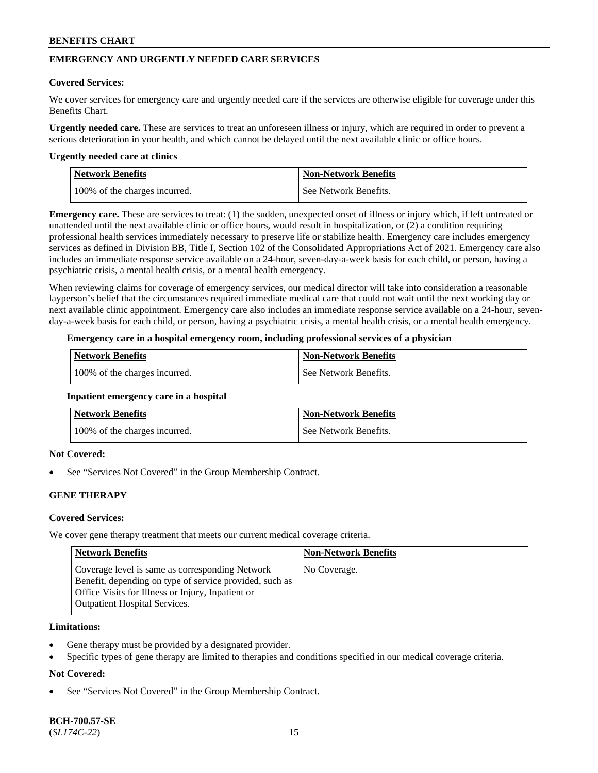## **EMERGENCY AND URGENTLY NEEDED CARE SERVICES**

### **Covered Services:**

We cover services for emergency care and urgently needed care if the services are otherwise eligible for coverage under this Benefits Chart.

**Urgently needed care.** These are services to treat an unforeseen illness or injury, which are required in order to prevent a serious deterioration in your health, and which cannot be delayed until the next available clinic or office hours.

#### **Urgently needed care at clinics**

| Network Benefits              | <b>Non-Network Benefits</b> |
|-------------------------------|-----------------------------|
| 100% of the charges incurred. | See Network Benefits.       |

**Emergency care.** These are services to treat: (1) the sudden, unexpected onset of illness or injury which, if left untreated or unattended until the next available clinic or office hours, would result in hospitalization, or (2) a condition requiring professional health services immediately necessary to preserve life or stabilize health. Emergency care includes emergency services as defined in Division BB, Title I, Section 102 of the Consolidated Appropriations Act of 2021. Emergency care also includes an immediate response service available on a 24-hour, seven-day-a-week basis for each child, or person, having a psychiatric crisis, a mental health crisis, or a mental health emergency.

When reviewing claims for coverage of emergency services, our medical director will take into consideration a reasonable layperson's belief that the circumstances required immediate medical care that could not wait until the next working day or next available clinic appointment. Emergency care also includes an immediate response service available on a 24-hour, sevenday-a-week basis for each child, or person, having a psychiatric crisis, a mental health crisis, or a mental health emergency.

## **Emergency care in a hospital emergency room, including professional services of a physician**

| <b>Network Benefits</b>       | <b>Non-Network Benefits</b> |
|-------------------------------|-----------------------------|
| 100% of the charges incurred. | See Network Benefits.       |

#### **Inpatient emergency care in a hospital**

| <b>Network Benefits</b>       | <b>Non-Network Benefits</b> |
|-------------------------------|-----------------------------|
| 100% of the charges incurred. | See Network Benefits.       |

## **Not Covered:**

See "Services Not Covered" in the Group Membership Contract.

## **GENE THERAPY**

## **Covered Services:**

We cover gene therapy treatment that meets our current medical coverage criteria.

| Network Benefits                                                                                                                                                                                        | <b>Non-Network Benefits</b> |
|---------------------------------------------------------------------------------------------------------------------------------------------------------------------------------------------------------|-----------------------------|
| Coverage level is same as corresponding Network<br>Benefit, depending on type of service provided, such as<br>Office Visits for Illness or Injury, Inpatient or<br><b>Outpatient Hospital Services.</b> | No Coverage.                |

#### **Limitations:**

- Gene therapy must be provided by a designated provider.
- Specific types of gene therapy are limited to therapies and conditions specified in our medical coverage criteria.

## **Not Covered:**

See "Services Not Covered" in the Group Membership Contract.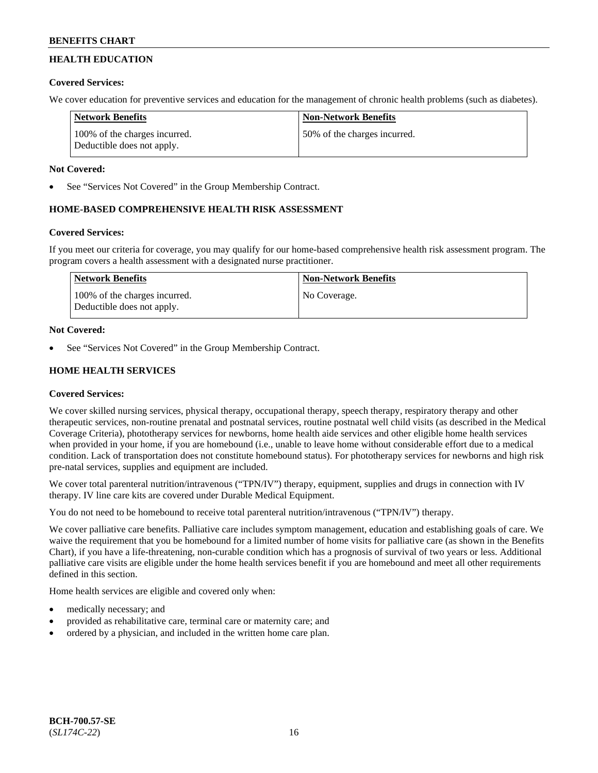## **HEALTH EDUCATION**

## **Covered Services:**

We cover education for preventive services and education for the management of chronic health problems (such as diabetes).

| <b>Network Benefits</b>                                     | <b>Non-Network Benefits</b>  |
|-------------------------------------------------------------|------------------------------|
| 100% of the charges incurred.<br>Deductible does not apply. | 50% of the charges incurred. |

## **Not Covered:**

See "Services Not Covered" in the Group Membership Contract.

## **HOME-BASED COMPREHENSIVE HEALTH RISK ASSESSMENT**

## **Covered Services:**

If you meet our criteria for coverage, you may qualify for our home-based comprehensive health risk assessment program. The program covers a health assessment with a designated nurse practitioner.

| Network Benefits                                            | <b>Non-Network Benefits</b> |
|-------------------------------------------------------------|-----------------------------|
| 100% of the charges incurred.<br>Deductible does not apply. | No Coverage.                |

## **Not Covered:**

See "Services Not Covered" in the Group Membership Contract.

## **HOME HEALTH SERVICES**

## **Covered Services:**

We cover skilled nursing services, physical therapy, occupational therapy, speech therapy, respiratory therapy and other therapeutic services, non-routine prenatal and postnatal services, routine postnatal well child visits (as described in the Medical Coverage Criteria), phototherapy services for newborns, home health aide services and other eligible home health services when provided in your home, if you are homebound (i.e., unable to leave home without considerable effort due to a medical condition. Lack of transportation does not constitute homebound status). For phototherapy services for newborns and high risk pre-natal services, supplies and equipment are included.

We cover total parenteral nutrition/intravenous ("TPN/IV") therapy, equipment, supplies and drugs in connection with IV therapy. IV line care kits are covered under Durable Medical Equipment.

You do not need to be homebound to receive total parenteral nutrition/intravenous ("TPN/IV") therapy.

We cover palliative care benefits. Palliative care includes symptom management, education and establishing goals of care. We waive the requirement that you be homebound for a limited number of home visits for palliative care (as shown in the Benefits Chart), if you have a life-threatening, non-curable condition which has a prognosis of survival of two years or less. Additional palliative care visits are eligible under the home health services benefit if you are homebound and meet all other requirements defined in this section.

Home health services are eligible and covered only when:

- medically necessary; and
- provided as rehabilitative care, terminal care or maternity care; and
- ordered by a physician, and included in the written home care plan.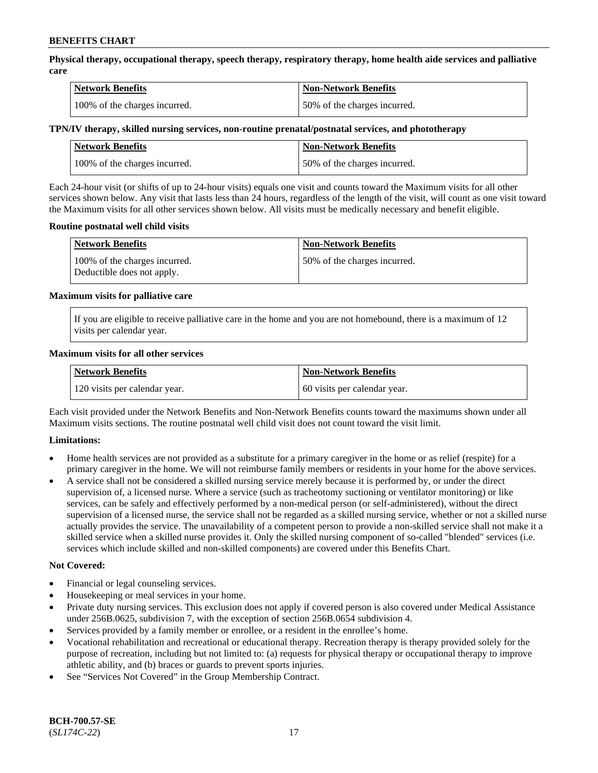**Physical therapy, occupational therapy, speech therapy, respiratory therapy, home health aide services and palliative care**

| <b>Network Benefits</b>       | <b>Non-Network Benefits</b>  |
|-------------------------------|------------------------------|
| 100% of the charges incurred. | 50% of the charges incurred. |

### **TPN/IV therapy, skilled nursing services, non-routine prenatal/postnatal services, and phototherapy**

| Network Benefits              | <b>Non-Network Benefits</b>  |
|-------------------------------|------------------------------|
| 100% of the charges incurred. | 50% of the charges incurred. |

Each 24-hour visit (or shifts of up to 24-hour visits) equals one visit and counts toward the Maximum visits for all other services shown below. Any visit that lasts less than 24 hours, regardless of the length of the visit, will count as one visit toward the Maximum visits for all other services shown below. All visits must be medically necessary and benefit eligible.

### **Routine postnatal well child visits**

| <b>Network Benefits</b>                                     | <b>Non-Network Benefits</b>  |
|-------------------------------------------------------------|------------------------------|
| 100% of the charges incurred.<br>Deductible does not apply. | 50% of the charges incurred. |

### **Maximum visits for palliative care**

If you are eligible to receive palliative care in the home and you are not homebound, there is a maximum of 12 visits per calendar year.

### **Maximum visits for all other services**

| <b>Network Benefits</b>       | <b>Non-Network Benefits</b>  |
|-------------------------------|------------------------------|
| 120 visits per calendar year. | 60 visits per calendar year. |

Each visit provided under the Network Benefits and Non-Network Benefits counts toward the maximums shown under all Maximum visits sections. The routine postnatal well child visit does not count toward the visit limit.

## **Limitations:**

- Home health services are not provided as a substitute for a primary caregiver in the home or as relief (respite) for a primary caregiver in the home. We will not reimburse family members or residents in your home for the above services.
- A service shall not be considered a skilled nursing service merely because it is performed by, or under the direct supervision of, a licensed nurse. Where a service (such as tracheotomy suctioning or ventilator monitoring) or like services, can be safely and effectively performed by a non-medical person (or self-administered), without the direct supervision of a licensed nurse, the service shall not be regarded as a skilled nursing service, whether or not a skilled nurse actually provides the service. The unavailability of a competent person to provide a non-skilled service shall not make it a skilled service when a skilled nurse provides it. Only the skilled nursing component of so-called "blended" services (i.e. services which include skilled and non-skilled components) are covered under this Benefits Chart.

#### **Not Covered:**

- Financial or legal counseling services.
- Housekeeping or meal services in your home.
- Private duty nursing services. This exclusion does not apply if covered person is also covered under Medical Assistance under 256B.0625, subdivision 7, with the exception of section 256B.0654 subdivision 4.
- Services provided by a family member or enrollee, or a resident in the enrollee's home.
- Vocational rehabilitation and recreational or educational therapy. Recreation therapy is therapy provided solely for the purpose of recreation, including but not limited to: (a) requests for physical therapy or occupational therapy to improve athletic ability, and (b) braces or guards to prevent sports injuries.
- See "Services Not Covered" in the Group Membership Contract.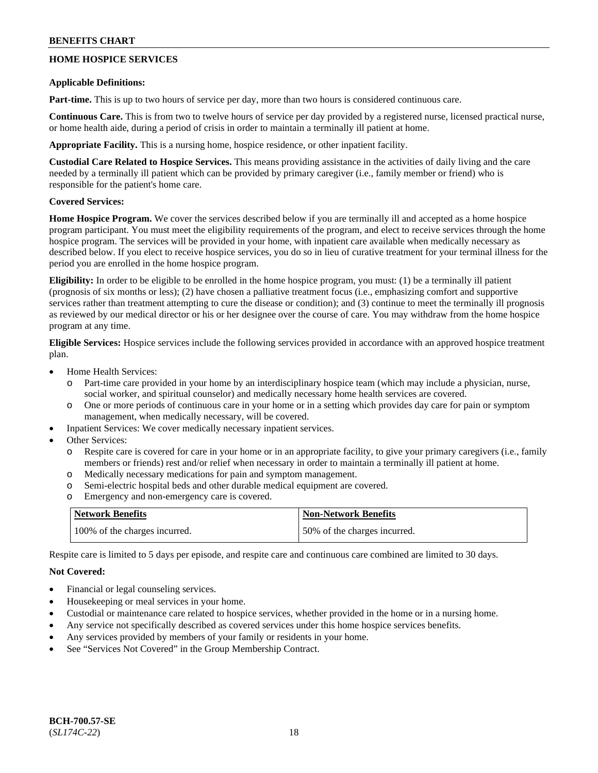## **HOME HOSPICE SERVICES**

### **Applicable Definitions:**

**Part-time.** This is up to two hours of service per day, more than two hours is considered continuous care.

**Continuous Care.** This is from two to twelve hours of service per day provided by a registered nurse, licensed practical nurse, or home health aide, during a period of crisis in order to maintain a terminally ill patient at home.

**Appropriate Facility.** This is a nursing home, hospice residence, or other inpatient facility.

**Custodial Care Related to Hospice Services.** This means providing assistance in the activities of daily living and the care needed by a terminally ill patient which can be provided by primary caregiver (i.e., family member or friend) who is responsible for the patient's home care.

## **Covered Services:**

**Home Hospice Program.** We cover the services described below if you are terminally ill and accepted as a home hospice program participant. You must meet the eligibility requirements of the program, and elect to receive services through the home hospice program. The services will be provided in your home, with inpatient care available when medically necessary as described below. If you elect to receive hospice services, you do so in lieu of curative treatment for your terminal illness for the period you are enrolled in the home hospice program.

**Eligibility:** In order to be eligible to be enrolled in the home hospice program, you must: (1) be a terminally ill patient (prognosis of six months or less); (2) have chosen a palliative treatment focus (i.e., emphasizing comfort and supportive services rather than treatment attempting to cure the disease or condition); and (3) continue to meet the terminally ill prognosis as reviewed by our medical director or his or her designee over the course of care. You may withdraw from the home hospice program at any time.

**Eligible Services:** Hospice services include the following services provided in accordance with an approved hospice treatment plan.

- Home Health Services:
	- o Part-time care provided in your home by an interdisciplinary hospice team (which may include a physician, nurse, social worker, and spiritual counselor) and medically necessary home health services are covered.
	- o One or more periods of continuous care in your home or in a setting which provides day care for pain or symptom management, when medically necessary, will be covered.
- Inpatient Services: We cover medically necessary inpatient services.
- Other Services:
	- o Respite care is covered for care in your home or in an appropriate facility, to give your primary caregivers (i.e., family members or friends) rest and/or relief when necessary in order to maintain a terminally ill patient at home.
	- o Medically necessary medications for pain and symptom management.
	- o Semi-electric hospital beds and other durable medical equipment are covered.
	- o Emergency and non-emergency care is covered.

| <b>Network Benefits</b>       | <b>Non-Network Benefits</b>  |
|-------------------------------|------------------------------|
| 100% of the charges incurred. | 50% of the charges incurred. |

Respite care is limited to 5 days per episode, and respite care and continuous care combined are limited to 30 days.

## **Not Covered:**

- Financial or legal counseling services.
- Housekeeping or meal services in your home.
- Custodial or maintenance care related to hospice services, whether provided in the home or in a nursing home.
- Any service not specifically described as covered services under this home hospice services benefits.
- Any services provided by members of your family or residents in your home.
- See "Services Not Covered" in the Group Membership Contract.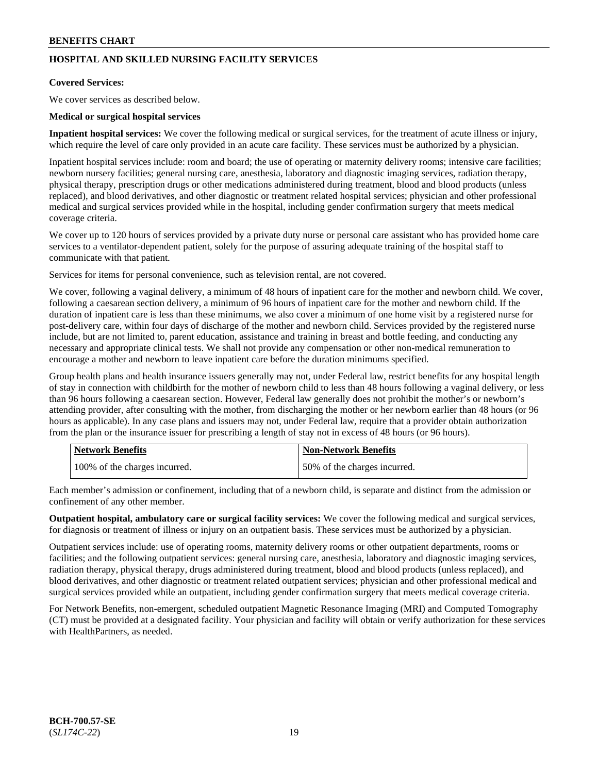## **HOSPITAL AND SKILLED NURSING FACILITY SERVICES**

### **Covered Services:**

We cover services as described below.

### **Medical or surgical hospital services**

**Inpatient hospital services:** We cover the following medical or surgical services, for the treatment of acute illness or injury, which require the level of care only provided in an acute care facility. These services must be authorized by a physician.

Inpatient hospital services include: room and board; the use of operating or maternity delivery rooms; intensive care facilities; newborn nursery facilities; general nursing care, anesthesia, laboratory and diagnostic imaging services, radiation therapy, physical therapy, prescription drugs or other medications administered during treatment, blood and blood products (unless replaced), and blood derivatives, and other diagnostic or treatment related hospital services; physician and other professional medical and surgical services provided while in the hospital, including gender confirmation surgery that meets medical coverage criteria.

We cover up to 120 hours of services provided by a private duty nurse or personal care assistant who has provided home care services to a ventilator-dependent patient, solely for the purpose of assuring adequate training of the hospital staff to communicate with that patient.

Services for items for personal convenience, such as television rental, are not covered.

We cover, following a vaginal delivery, a minimum of 48 hours of inpatient care for the mother and newborn child. We cover, following a caesarean section delivery, a minimum of 96 hours of inpatient care for the mother and newborn child. If the duration of inpatient care is less than these minimums, we also cover a minimum of one home visit by a registered nurse for post-delivery care, within four days of discharge of the mother and newborn child. Services provided by the registered nurse include, but are not limited to, parent education, assistance and training in breast and bottle feeding, and conducting any necessary and appropriate clinical tests. We shall not provide any compensation or other non-medical remuneration to encourage a mother and newborn to leave inpatient care before the duration minimums specified.

Group health plans and health insurance issuers generally may not, under Federal law, restrict benefits for any hospital length of stay in connection with childbirth for the mother of newborn child to less than 48 hours following a vaginal delivery, or less than 96 hours following a caesarean section. However, Federal law generally does not prohibit the mother's or newborn's attending provider, after consulting with the mother, from discharging the mother or her newborn earlier than 48 hours (or 96 hours as applicable). In any case plans and issuers may not, under Federal law, require that a provider obtain authorization from the plan or the insurance issuer for prescribing a length of stay not in excess of 48 hours (or 96 hours).

| <b>Network Benefits</b>       | <b>Non-Network Benefits</b>  |
|-------------------------------|------------------------------|
| 100% of the charges incurred. | 50% of the charges incurred. |

Each member's admission or confinement, including that of a newborn child, is separate and distinct from the admission or confinement of any other member.

**Outpatient hospital, ambulatory care or surgical facility services:** We cover the following medical and surgical services, for diagnosis or treatment of illness or injury on an outpatient basis. These services must be authorized by a physician.

Outpatient services include: use of operating rooms, maternity delivery rooms or other outpatient departments, rooms or facilities; and the following outpatient services: general nursing care, anesthesia, laboratory and diagnostic imaging services, radiation therapy, physical therapy, drugs administered during treatment, blood and blood products (unless replaced), and blood derivatives, and other diagnostic or treatment related outpatient services; physician and other professional medical and surgical services provided while an outpatient, including gender confirmation surgery that meets medical coverage criteria.

For Network Benefits, non-emergent, scheduled outpatient Magnetic Resonance Imaging (MRI) and Computed Tomography (CT) must be provided at a designated facility. Your physician and facility will obtain or verify authorization for these services with HealthPartners, as needed.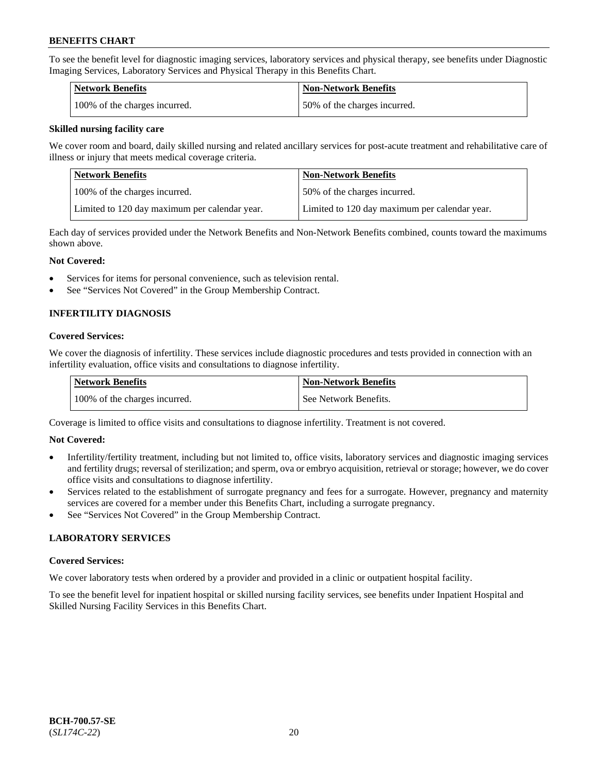To see the benefit level for diagnostic imaging services, laboratory services and physical therapy, see benefits under Diagnostic Imaging Services, Laboratory Services and Physical Therapy in this Benefits Chart.

| <b>Network Benefits</b>       | Non-Network Benefits         |
|-------------------------------|------------------------------|
| 100% of the charges incurred. | 50% of the charges incurred. |

### **Skilled nursing facility care**

We cover room and board, daily skilled nursing and related ancillary services for post-acute treatment and rehabilitative care of illness or injury that meets medical coverage criteria.

| Network Benefits                              | <b>Non-Network Benefits</b>                   |
|-----------------------------------------------|-----------------------------------------------|
| 100\% of the charges incurred.                | 150% of the charges incurred.                 |
| Limited to 120 day maximum per calendar year. | Limited to 120 day maximum per calendar year. |

Each day of services provided under the Network Benefits and Non-Network Benefits combined, counts toward the maximums shown above.

### **Not Covered:**

- Services for items for personal convenience, such as television rental.
- See "Services Not Covered" in the Group Membership Contract.

## **INFERTILITY DIAGNOSIS**

### **Covered Services:**

We cover the diagnosis of infertility. These services include diagnostic procedures and tests provided in connection with an infertility evaluation, office visits and consultations to diagnose infertility.

| <b>Network Benefits</b>       | <b>Non-Network Benefits</b> |
|-------------------------------|-----------------------------|
| 100% of the charges incurred. | See Network Benefits.       |

Coverage is limited to office visits and consultations to diagnose infertility. Treatment is not covered.

## **Not Covered:**

- Infertility/fertility treatment, including but not limited to, office visits, laboratory services and diagnostic imaging services and fertility drugs; reversal of sterilization; and sperm, ova or embryo acquisition, retrieval or storage; however, we do cover office visits and consultations to diagnose infertility.
- Services related to the establishment of surrogate pregnancy and fees for a surrogate. However, pregnancy and maternity services are covered for a member under this Benefits Chart, including a surrogate pregnancy.
- See "Services Not Covered" in the Group Membership Contract.

## **LABORATORY SERVICES**

#### **Covered Services:**

We cover laboratory tests when ordered by a provider and provided in a clinic or outpatient hospital facility.

To see the benefit level for inpatient hospital or skilled nursing facility services, see benefits under Inpatient Hospital and Skilled Nursing Facility Services in this Benefits Chart.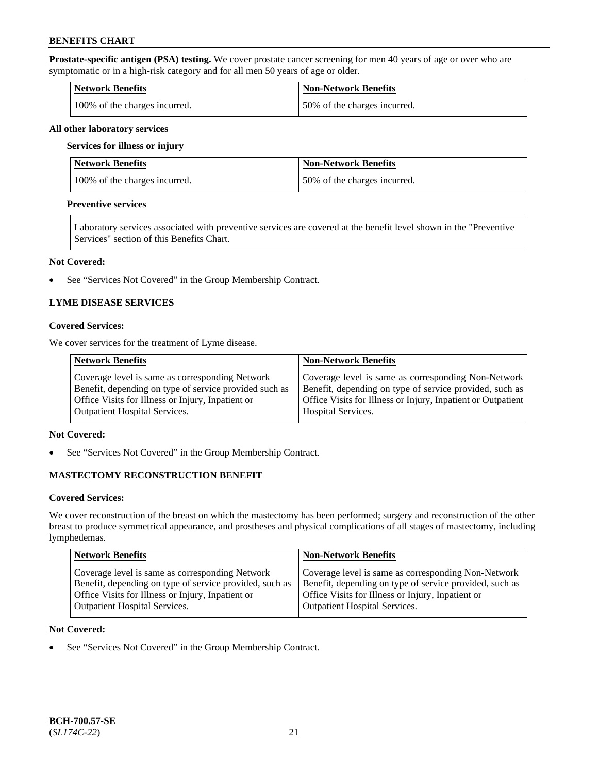**Prostate-specific antigen (PSA) testing.** We cover prostate cancer screening for men 40 years of age or over who are symptomatic or in a high-risk category and for all men 50 years of age or older.

| <b>Network Benefits</b>       | <b>Non-Network Benefits</b>   |
|-------------------------------|-------------------------------|
| 100% of the charges incurred. | 150% of the charges incurred. |

#### **All other laboratory services**

#### **Services for illness or injury**

| Network Benefits              | <b>Non-Network Benefits</b>  |
|-------------------------------|------------------------------|
| 100% of the charges incurred. | 50% of the charges incurred. |

### **Preventive services**

Laboratory services associated with preventive services are covered at the benefit level shown in the "Preventive Services" section of this Benefits Chart.

#### **Not Covered:**

See "Services Not Covered" in the Group Membership Contract.

## **LYME DISEASE SERVICES**

### **Covered Services:**

We cover services for the treatment of Lyme disease.

| <b>Network Benefits</b>                                | <b>Non-Network Benefits</b>                                  |
|--------------------------------------------------------|--------------------------------------------------------------|
| Coverage level is same as corresponding Network        | Coverage level is same as corresponding Non-Network          |
| Benefit, depending on type of service provided such as | Benefit, depending on type of service provided, such as      |
| Office Visits for Illness or Injury, Inpatient or      | Office Visits for Illness or Injury, Inpatient or Outpatient |
| <b>Outpatient Hospital Services.</b>                   | <b>Hospital Services.</b>                                    |

## **Not Covered:**

• See "Services Not Covered" in the Group Membership Contract.

## **MASTECTOMY RECONSTRUCTION BENEFIT**

#### **Covered Services:**

We cover reconstruction of the breast on which the mastectomy has been performed; surgery and reconstruction of the other breast to produce symmetrical appearance, and prostheses and physical complications of all stages of mastectomy, including lymphedemas.

| <b>Network Benefits</b>                                 | <b>Non-Network Benefits</b>                             |
|---------------------------------------------------------|---------------------------------------------------------|
| Coverage level is same as corresponding Network         | Coverage level is same as corresponding Non-Network     |
| Benefit, depending on type of service provided, such as | Benefit, depending on type of service provided, such as |
| Office Visits for Illness or Injury, Inpatient or       | Office Visits for Illness or Injury, Inpatient or       |
| <b>Outpatient Hospital Services.</b>                    | Outpatient Hospital Services.                           |

#### **Not Covered:**

• See "Services Not Covered" in the Group Membership Contract.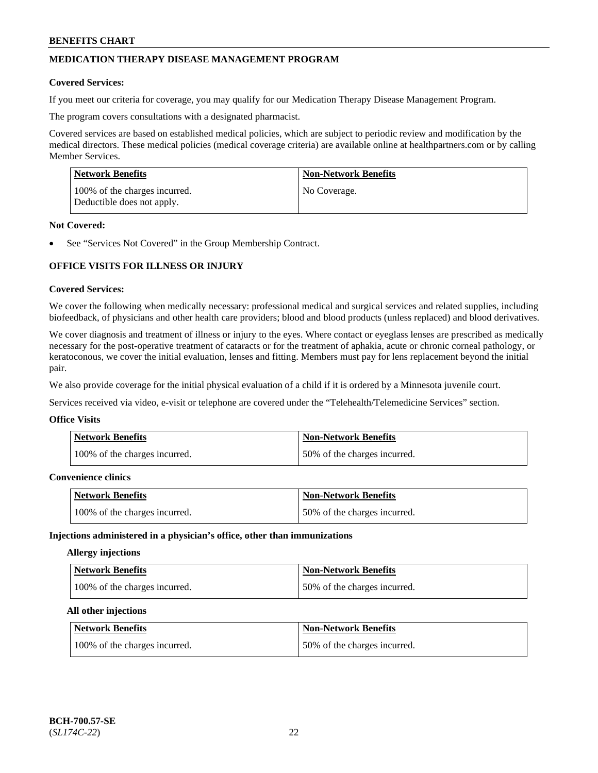## **MEDICATION THERAPY DISEASE MANAGEMENT PROGRAM**

### **Covered Services:**

If you meet our criteria for coverage, you may qualify for our Medication Therapy Disease Management Program.

The program covers consultations with a designated pharmacist.

Covered services are based on established medical policies, which are subject to periodic review and modification by the medical directors. These medical policies (medical coverage criteria) are available online at [healthpartners.com](https://www.healthpartners.com/hp/index.html) or by calling Member Services.

| Network Benefits                                            | <b>Non-Network Benefits</b> |
|-------------------------------------------------------------|-----------------------------|
| 100% of the charges incurred.<br>Deductible does not apply. | No Coverage.                |

### **Not Covered:**

See "Services Not Covered" in the Group Membership Contract.

## **OFFICE VISITS FOR ILLNESS OR INJURY**

### **Covered Services:**

We cover the following when medically necessary: professional medical and surgical services and related supplies, including biofeedback, of physicians and other health care providers; blood and blood products (unless replaced) and blood derivatives.

We cover diagnosis and treatment of illness or injury to the eyes. Where contact or eyeglass lenses are prescribed as medically necessary for the post-operative treatment of cataracts or for the treatment of aphakia, acute or chronic corneal pathology, or keratoconous, we cover the initial evaluation, lenses and fitting. Members must pay for lens replacement beyond the initial pair.

We also provide coverage for the initial physical evaluation of a child if it is ordered by a Minnesota juvenile court.

Services received via video, e-visit or telephone are covered under the "Telehealth/Telemedicine Services" section.

#### **Office Visits**

| Network Benefits              | <b>Non-Network Benefits</b>  |
|-------------------------------|------------------------------|
| 100% of the charges incurred. | 50% of the charges incurred. |

## **Convenience clinics**

| <b>Network Benefits</b>       | <b>Non-Network Benefits</b>  |
|-------------------------------|------------------------------|
| 100% of the charges incurred. | 50% of the charges incurred. |

#### **Injections administered in a physician's office, other than immunizations**

## **Allergy injections**

| Network Benefits              | <b>Non-Network Benefits</b>  |
|-------------------------------|------------------------------|
| 100% of the charges incurred. | 50% of the charges incurred. |

#### **All other injections**

| Network Benefits              | <b>Non-Network Benefits</b>  |
|-------------------------------|------------------------------|
| 100% of the charges incurred. | 50% of the charges incurred. |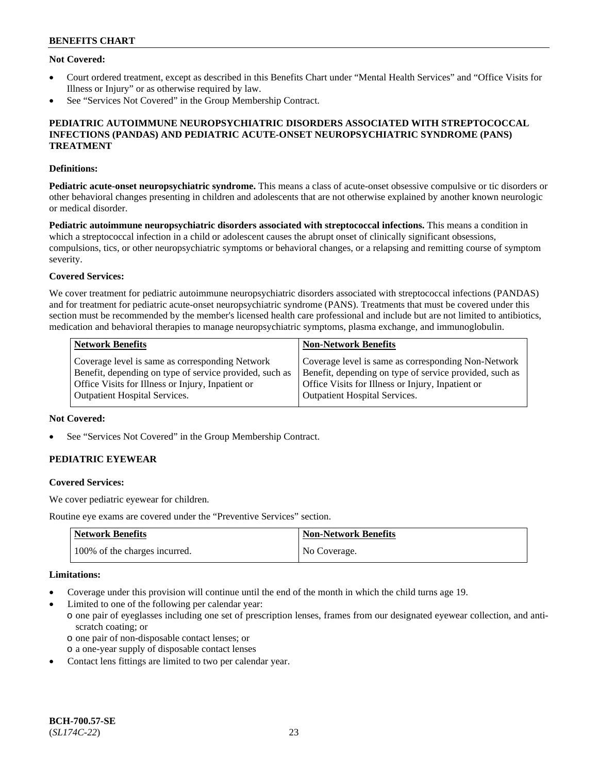## **Not Covered:**

- Court ordered treatment, except as described in this Benefits Chart under "Mental Health Services" and "Office Visits for Illness or Injury" or as otherwise required by law.
- See "Services Not Covered" in the Group Membership Contract.

## **PEDIATRIC AUTOIMMUNE NEUROPSYCHIATRIC DISORDERS ASSOCIATED WITH STREPTOCOCCAL INFECTIONS (PANDAS) AND PEDIATRIC ACUTE-ONSET NEUROPSYCHIATRIC SYNDROME (PANS) TREATMENT**

## **Definitions:**

**Pediatric acute-onset neuropsychiatric syndrome.** This means a class of acute-onset obsessive compulsive or tic disorders or other behavioral changes presenting in children and adolescents that are not otherwise explained by another known neurologic or medical disorder.

**Pediatric autoimmune neuropsychiatric disorders associated with streptococcal infections.** This means a condition in which a streptococcal infection in a child or adolescent causes the abrupt onset of clinically significant obsessions, compulsions, tics, or other neuropsychiatric symptoms or behavioral changes, or a relapsing and remitting course of symptom severity.

### **Covered Services:**

We cover treatment for pediatric autoimmune neuropsychiatric disorders associated with streptococcal infections (PANDAS) and for treatment for pediatric acute-onset neuropsychiatric syndrome (PANS). Treatments that must be covered under this section must be recommended by the member's licensed health care professional and include but are not limited to antibiotics, medication and behavioral therapies to manage neuropsychiatric symptoms, plasma exchange, and immunoglobulin.

| <b>Network Benefits</b>                                 | <b>Non-Network Benefits</b>                             |
|---------------------------------------------------------|---------------------------------------------------------|
| Coverage level is same as corresponding Network         | Coverage level is same as corresponding Non-Network     |
| Benefit, depending on type of service provided, such as | Benefit, depending on type of service provided, such as |
| Office Visits for Illness or Injury, Inpatient or       | Office Visits for Illness or Injury, Inpatient or       |
| <b>Outpatient Hospital Services.</b>                    | <b>Outpatient Hospital Services.</b>                    |

### **Not Covered:**

See "Services Not Covered" in the Group Membership Contract.

## **PEDIATRIC EYEWEAR**

#### **Covered Services:**

We cover pediatric eyewear for children.

Routine eye exams are covered under the "Preventive Services" section.

| <b>Network Benefits</b>       | Non-Network Benefits |
|-------------------------------|----------------------|
| 100% of the charges incurred. | No Coverage.         |

### **Limitations:**

- Coverage under this provision will continue until the end of the month in which the child turns age 19.
- Limited to one of the following per calendar year:
	- o one pair of eyeglasses including one set of prescription lenses, frames from our designated eyewear collection, and antiscratch coating; or
		- o one pair of non-disposable contact lenses; or
	- o a one-year supply of disposable contact lenses
- Contact lens fittings are limited to two per calendar year.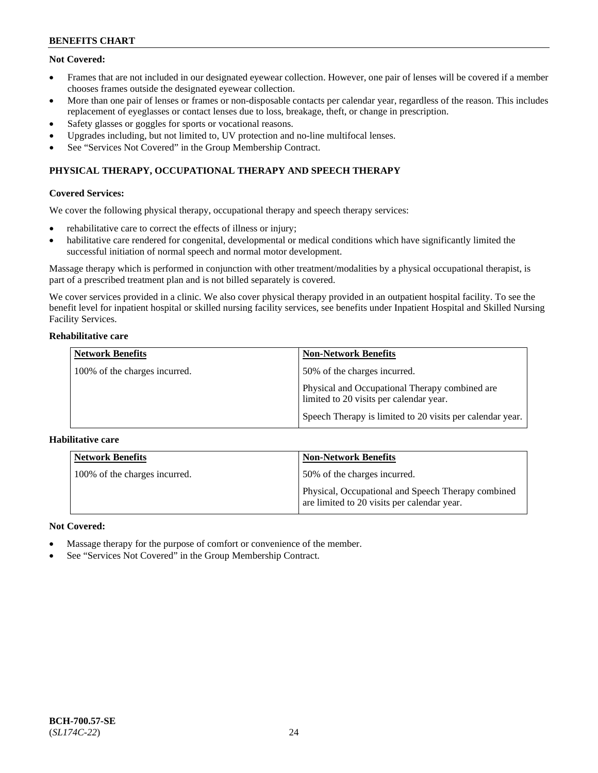## **Not Covered:**

- Frames that are not included in our designated eyewear collection. However, one pair of lenses will be covered if a member chooses frames outside the designated eyewear collection.
- More than one pair of lenses or frames or non-disposable contacts per calendar year, regardless of the reason. This includes replacement of eyeglasses or contact lenses due to loss, breakage, theft, or change in prescription.
- Safety glasses or goggles for sports or vocational reasons.
- Upgrades including, but not limited to, UV protection and no-line multifocal lenses.
- See "Services Not Covered" in the Group Membership Contract.

## **PHYSICAL THERAPY, OCCUPATIONAL THERAPY AND SPEECH THERAPY**

## **Covered Services:**

We cover the following physical therapy, occupational therapy and speech therapy services:

- rehabilitative care to correct the effects of illness or injury;
- habilitative care rendered for congenital, developmental or medical conditions which have significantly limited the successful initiation of normal speech and normal motor development.

Massage therapy which is performed in conjunction with other treatment/modalities by a physical occupational therapist, is part of a prescribed treatment plan and is not billed separately is covered.

We cover services provided in a clinic. We also cover physical therapy provided in an outpatient hospital facility. To see the benefit level for inpatient hospital or skilled nursing facility services, see benefits under Inpatient Hospital and Skilled Nursing Facility Services.

### **Rehabilitative care**

| <b>Network Benefits</b>       | <b>Non-Network Benefits</b>                                                               |
|-------------------------------|-------------------------------------------------------------------------------------------|
| 100% of the charges incurred. | 50% of the charges incurred.                                                              |
|                               | Physical and Occupational Therapy combined are<br>limited to 20 visits per calendar year. |
|                               | Speech Therapy is limited to 20 visits per calendar year.                                 |

## **Habilitative care**

| <b>Network Benefits</b>       | <b>Non-Network Benefits</b>                                                                       |
|-------------------------------|---------------------------------------------------------------------------------------------------|
| 100% of the charges incurred. | 50% of the charges incurred.                                                                      |
|                               | Physical, Occupational and Speech Therapy combined<br>are limited to 20 visits per calendar year. |

## **Not Covered:**

- Massage therapy for the purpose of comfort or convenience of the member.
- See "Services Not Covered" in the Group Membership Contract.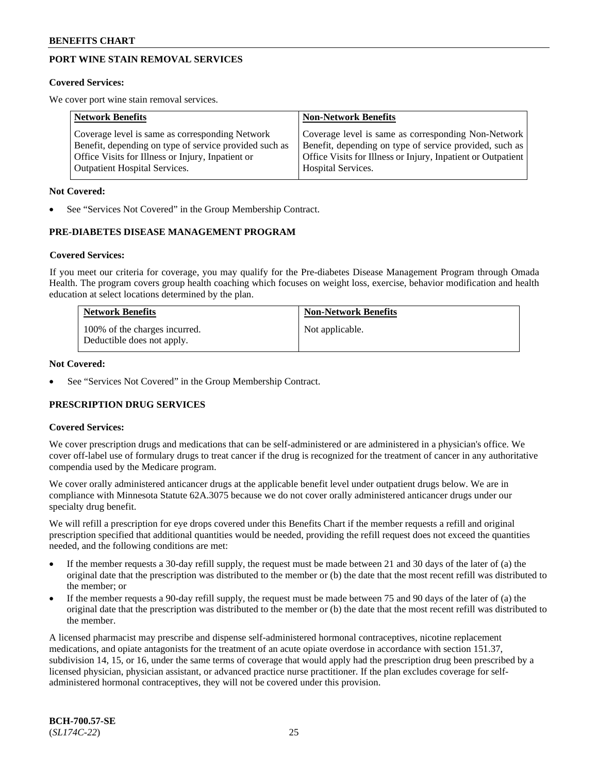## **PORT WINE STAIN REMOVAL SERVICES**

#### **Covered Services:**

We cover port wine stain removal services.

| <b>Network Benefits</b>                                | <b>Non-Network Benefits</b>                                  |
|--------------------------------------------------------|--------------------------------------------------------------|
| Coverage level is same as corresponding Network        | Coverage level is same as corresponding Non-Network          |
| Benefit, depending on type of service provided such as | Benefit, depending on type of service provided, such as      |
| Office Visits for Illness or Injury, Inpatient or      | Office Visits for Illness or Injury, Inpatient or Outpatient |
| <b>Outpatient Hospital Services.</b>                   | Hospital Services.                                           |

#### **Not Covered:**

See "Services Not Covered" in the Group Membership Contract.

## **PRE-DIABETES DISEASE MANAGEMENT PROGRAM**

#### **Covered Services:**

If you meet our criteria for coverage, you may qualify for the Pre-diabetes Disease Management Program through Omada Health. The program covers group health coaching which focuses on weight loss, exercise, behavior modification and health education at select locations determined by the plan.

| <b>Network Benefits</b>                                     | <b>Non-Network Benefits</b> |
|-------------------------------------------------------------|-----------------------------|
| 100% of the charges incurred.<br>Deductible does not apply. | Not applicable.             |

### **Not Covered:**

See "Services Not Covered" in the Group Membership Contract.

## **PRESCRIPTION DRUG SERVICES**

#### **Covered Services:**

We cover prescription drugs and medications that can be self-administered or are administered in a physician's office. We cover off-label use of formulary drugs to treat cancer if the drug is recognized for the treatment of cancer in any authoritative compendia used by the Medicare program.

We cover orally administered anticancer drugs at the applicable benefit level under outpatient drugs below. We are in compliance with Minnesota Statute 62A.3075 because we do not cover orally administered anticancer drugs under our specialty drug benefit.

We will refill a prescription for eye drops covered under this Benefits Chart if the member requests a refill and original prescription specified that additional quantities would be needed, providing the refill request does not exceed the quantities needed, and the following conditions are met:

- If the member requests a 30-day refill supply, the request must be made between 21 and 30 days of the later of (a) the original date that the prescription was distributed to the member or (b) the date that the most recent refill was distributed to the member; or
- If the member requests a 90-day refill supply, the request must be made between 75 and 90 days of the later of (a) the original date that the prescription was distributed to the member or (b) the date that the most recent refill was distributed to the member.

A licensed pharmacist may prescribe and dispense self-administered hormonal contraceptives, nicotine replacement medications, and opiate antagonists for the treatment of an acute opiate overdose in accordance with section 151.37, subdivision 14, 15, or 16, under the same terms of coverage that would apply had the prescription drug been prescribed by a licensed physician, physician assistant, or advanced practice nurse practitioner. If the plan excludes coverage for selfadministered hormonal contraceptives, they will not be covered under this provision.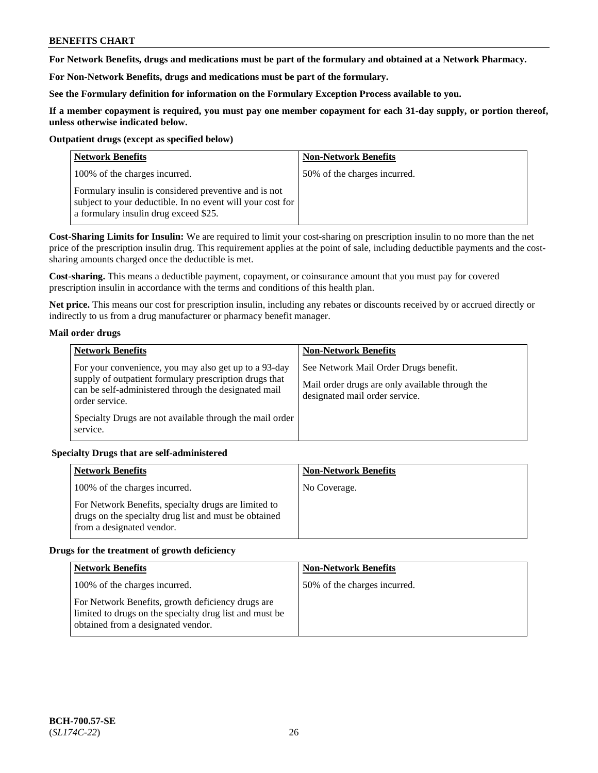**For Network Benefits, drugs and medications must be part of the formulary and obtained at a Network Pharmacy.**

**For Non-Network Benefits, drugs and medications must be part of the formulary.** 

**See the Formulary definition for information on the Formulary Exception Process available to you.**

**If a member copayment is required, you must pay one member copayment for each 31-day supply, or portion thereof, unless otherwise indicated below.**

### **Outpatient drugs (except as specified below)**

| <b>Network Benefits</b>                                                                                                                                      | <b>Non-Network Benefits</b>  |
|--------------------------------------------------------------------------------------------------------------------------------------------------------------|------------------------------|
| 100% of the charges incurred.                                                                                                                                | 50% of the charges incurred. |
| Formulary insulin is considered preventive and is not<br>subject to your deductible. In no event will your cost for<br>a formulary insulin drug exceed \$25. |                              |

**Cost-Sharing Limits for Insulin:** We are required to limit your cost-sharing on prescription insulin to no more than the net price of the prescription insulin drug. This requirement applies at the point of sale, including deductible payments and the costsharing amounts charged once the deductible is met.

**Cost-sharing.** This means a deductible payment, copayment, or coinsurance amount that you must pay for covered prescription insulin in accordance with the terms and conditions of this health plan.

**Net price.** This means our cost for prescription insulin, including any rebates or discounts received by or accrued directly or indirectly to us from a drug manufacturer or pharmacy benefit manager.

## **Mail order drugs**

| <b>Network Benefits</b>                                                                                                                                                                   | <b>Non-Network Benefits</b>                                                                                                |
|-------------------------------------------------------------------------------------------------------------------------------------------------------------------------------------------|----------------------------------------------------------------------------------------------------------------------------|
| For your convenience, you may also get up to a 93-day<br>supply of outpatient formulary prescription drugs that<br>can be self-administered through the designated mail<br>order service. | See Network Mail Order Drugs benefit.<br>Mail order drugs are only available through the<br>designated mail order service. |
| Specialty Drugs are not available through the mail order<br>service.                                                                                                                      |                                                                                                                            |

## **Specialty Drugs that are self-administered**

| <b>Network Benefits</b>                                                                                                                    | <b>Non-Network Benefits</b> |
|--------------------------------------------------------------------------------------------------------------------------------------------|-----------------------------|
| 100% of the charges incurred.                                                                                                              | No Coverage.                |
| For Network Benefits, specialty drugs are limited to<br>drugs on the specialty drug list and must be obtained<br>from a designated vendor. |                             |

## **Drugs for the treatment of growth deficiency**

| <b>Network Benefits</b>                                                                                                                            | <b>Non-Network Benefits</b>  |
|----------------------------------------------------------------------------------------------------------------------------------------------------|------------------------------|
| 100% of the charges incurred.                                                                                                                      | 50% of the charges incurred. |
| For Network Benefits, growth deficiency drugs are<br>limited to drugs on the specialty drug list and must be<br>obtained from a designated vendor. |                              |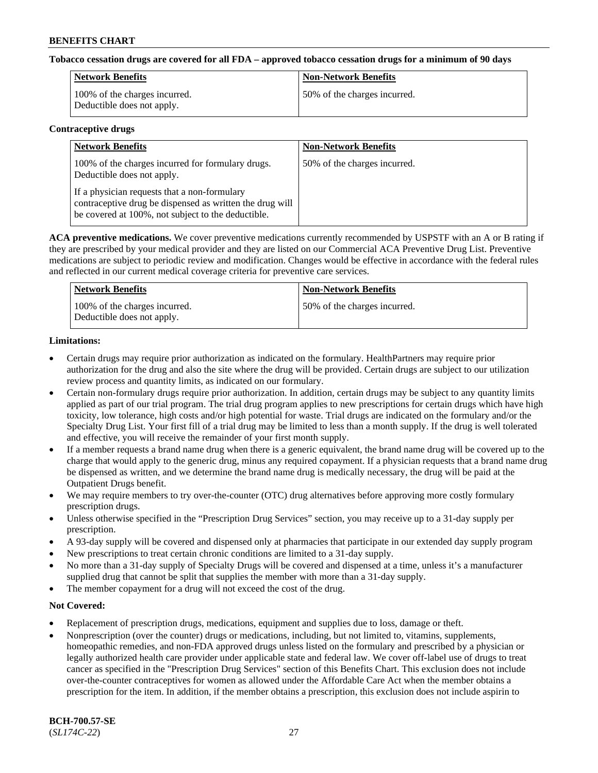## **Tobacco cessation drugs are covered for all FDA – approved tobacco cessation drugs for a minimum of 90 days**

| Network Benefits                                            | <b>Non-Network Benefits</b>  |
|-------------------------------------------------------------|------------------------------|
| 100% of the charges incurred.<br>Deductible does not apply. | 50% of the charges incurred. |

#### **Contraceptive drugs**

| <b>Network Benefits</b>                                                                                                                                        | <b>Non-Network Benefits</b>  |
|----------------------------------------------------------------------------------------------------------------------------------------------------------------|------------------------------|
| 100% of the charges incurred for formulary drugs.<br>Deductible does not apply.                                                                                | 50% of the charges incurred. |
| If a physician requests that a non-formulary<br>contraceptive drug be dispensed as written the drug will<br>be covered at 100%, not subject to the deductible. |                              |

**ACA preventive medications.** We cover preventive medications currently recommended by USPSTF with an A or B rating if they are prescribed by your medical provider and they are listed on our Commercial ACA Preventive Drug List. Preventive medications are subject to periodic review and modification. Changes would be effective in accordance with the federal rules and reflected in our current medical coverage criteria for preventive care services.

| <b>Network Benefits</b>                                     | <b>Non-Network Benefits</b>  |
|-------------------------------------------------------------|------------------------------|
| 100% of the charges incurred.<br>Deductible does not apply. | 50% of the charges incurred. |

## **Limitations:**

- Certain drugs may require prior authorization as indicated on the formulary. HealthPartners may require prior authorization for the drug and also the site where the drug will be provided. Certain drugs are subject to our utilization review process and quantity limits, as indicated on our formulary.
- Certain non-formulary drugs require prior authorization. In addition, certain drugs may be subject to any quantity limits applied as part of our trial program. The trial drug program applies to new prescriptions for certain drugs which have high toxicity, low tolerance, high costs and/or high potential for waste. Trial drugs are indicated on the formulary and/or the Specialty Drug List. Your first fill of a trial drug may be limited to less than a month supply. If the drug is well tolerated and effective, you will receive the remainder of your first month supply.
- If a member requests a brand name drug when there is a generic equivalent, the brand name drug will be covered up to the charge that would apply to the generic drug, minus any required copayment. If a physician requests that a brand name drug be dispensed as written, and we determine the brand name drug is medically necessary, the drug will be paid at the Outpatient Drugs benefit.
- We may require members to try over-the-counter (OTC) drug alternatives before approving more costly formulary prescription drugs.
- Unless otherwise specified in the "Prescription Drug Services" section, you may receive up to a 31-day supply per prescription.
- A 93-day supply will be covered and dispensed only at pharmacies that participate in our extended day supply program
- New prescriptions to treat certain chronic conditions are limited to a 31-day supply.
- No more than a 31-day supply of Specialty Drugs will be covered and dispensed at a time, unless it's a manufacturer supplied drug that cannot be split that supplies the member with more than a 31-day supply.
- The member copayment for a drug will not exceed the cost of the drug.

## **Not Covered:**

- Replacement of prescription drugs, medications, equipment and supplies due to loss, damage or theft.
- Nonprescription (over the counter) drugs or medications, including, but not limited to, vitamins, supplements, homeopathic remedies, and non-FDA approved drugs unless listed on the formulary and prescribed by a physician or legally authorized health care provider under applicable state and federal law. We cover off-label use of drugs to treat cancer as specified in the "Prescription Drug Services" section of this Benefits Chart. This exclusion does not include over-the-counter contraceptives for women as allowed under the Affordable Care Act when the member obtains a prescription for the item. In addition, if the member obtains a prescription, this exclusion does not include aspirin to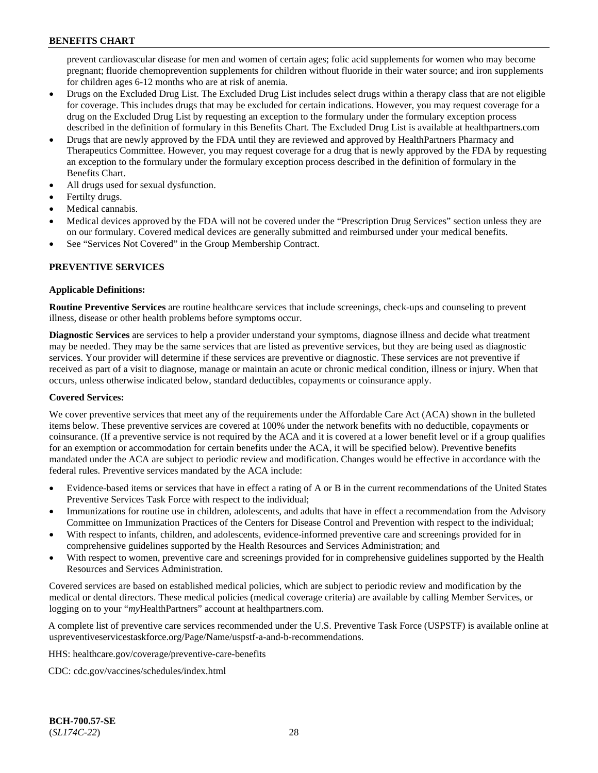prevent cardiovascular disease for men and women of certain ages; folic acid supplements for women who may become pregnant; fluoride chemoprevention supplements for children without fluoride in their water source; and iron supplements for children ages 6-12 months who are at risk of anemia.

- Drugs on the Excluded Drug List. The Excluded Drug List includes select drugs within a therapy class that are not eligible for coverage. This includes drugs that may be excluded for certain indications. However, you may request coverage for a drug on the Excluded Drug List by requesting an exception to the formulary under the formulary exception process described in the definition of formulary in this Benefits Chart. The Excluded Drug List is available at [healthpartners.com](http://www.healthpartners.com/)
- Drugs that are newly approved by the FDA until they are reviewed and approved by HealthPartners Pharmacy and Therapeutics Committee. However, you may request coverage for a drug that is newly approved by the FDA by requesting an exception to the formulary under the formulary exception process described in the definition of formulary in the Benefits Chart.
- All drugs used for sexual dysfunction.
- Fertilty drugs.
- Medical cannabis.
- Medical devices approved by the FDA will not be covered under the "Prescription Drug Services" section unless they are on our formulary. Covered medical devices are generally submitted and reimbursed under your medical benefits.
- See "Services Not Covered" in the Group Membership Contract.

## **PREVENTIVE SERVICES**

## **Applicable Definitions:**

**Routine Preventive Services** are routine healthcare services that include screenings, check-ups and counseling to prevent illness, disease or other health problems before symptoms occur.

**Diagnostic Services** are services to help a provider understand your symptoms, diagnose illness and decide what treatment may be needed. They may be the same services that are listed as preventive services, but they are being used as diagnostic services. Your provider will determine if these services are preventive or diagnostic. These services are not preventive if received as part of a visit to diagnose, manage or maintain an acute or chronic medical condition, illness or injury. When that occurs, unless otherwise indicated below, standard deductibles, copayments or coinsurance apply.

## **Covered Services:**

We cover preventive services that meet any of the requirements under the Affordable Care Act (ACA) shown in the bulleted items below. These preventive services are covered at 100% under the network benefits with no deductible, copayments or coinsurance. (If a preventive service is not required by the ACA and it is covered at a lower benefit level or if a group qualifies for an exemption or accommodation for certain benefits under the ACA, it will be specified below). Preventive benefits mandated under the ACA are subject to periodic review and modification. Changes would be effective in accordance with the federal rules. Preventive services mandated by the ACA include:

- Evidence-based items or services that have in effect a rating of A or B in the current recommendations of the United States Preventive Services Task Force with respect to the individual;
- Immunizations for routine use in children, adolescents, and adults that have in effect a recommendation from the Advisory Committee on Immunization Practices of the Centers for Disease Control and Prevention with respect to the individual;
- With respect to infants, children, and adolescents, evidence-informed preventive care and screenings provided for in comprehensive guidelines supported by the Health Resources and Services Administration; and
- With respect to women, preventive care and screenings provided for in comprehensive guidelines supported by the Health Resources and Services Administration.

Covered services are based on established medical policies, which are subject to periodic review and modification by the medical or dental directors. These medical policies (medical coverage criteria) are available by calling Member Services, or logging on to your "*my*HealthPartners" account at [healthpartners.com.](http://www.healthpartners.com/)

A complete list of preventive care services recommended under the U.S. Preventive Task Force (USPSTF) is available online at [uspreventiveservicestaskforce.org/Page/Name/uspstf-a-and-b-recommendations.](https://www.uspreventiveservicestaskforce.org/Page/Name/uspstf-a-and-b-recommendations-by-date/)

HHS: [healthcare.gov/coverage/preventive-care-benefits](https://www.healthcare.gov/coverage/preventive-care-benefits/)

CDC: [cdc.gov/vaccines/schedules/index.html](https://www.cdc.gov/vaccines/schedules/index.html)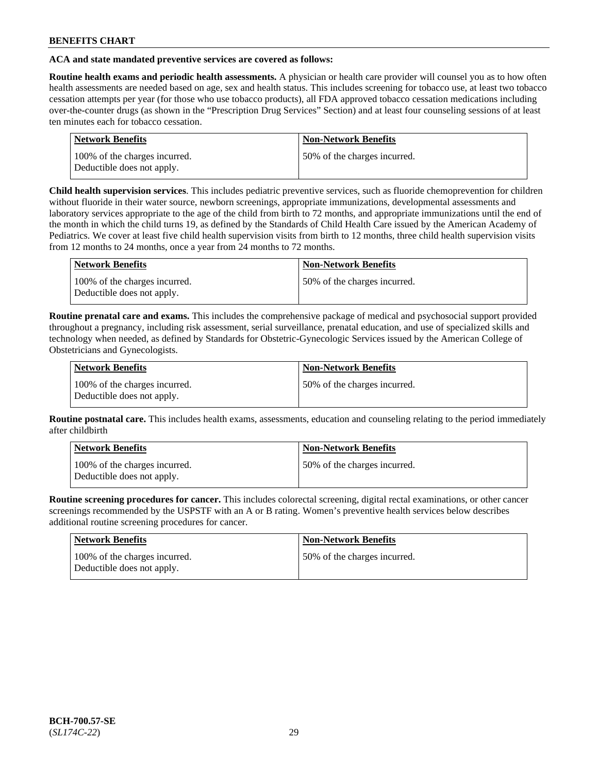## **ACA and state mandated preventive services are covered as follows:**

**Routine health exams and periodic health assessments.** A physician or health care provider will counsel you as to how often health assessments are needed based on age, sex and health status. This includes screening for tobacco use, at least two tobacco cessation attempts per year (for those who use tobacco products), all FDA approved tobacco cessation medications including over-the-counter drugs (as shown in the "Prescription Drug Services" Section) and at least four counseling sessions of at least ten minutes each for tobacco cessation.

| <b>Network Benefits</b>                                     | <b>Non-Network Benefits</b>  |
|-------------------------------------------------------------|------------------------------|
| 100% of the charges incurred.<br>Deductible does not apply. | 50% of the charges incurred. |

**Child health supervision services**. This includes pediatric preventive services, such as fluoride chemoprevention for children without fluoride in their water source, newborn screenings, appropriate immunizations, developmental assessments and laboratory services appropriate to the age of the child from birth to 72 months, and appropriate immunizations until the end of the month in which the child turns 19, as defined by the Standards of Child Health Care issued by the American Academy of Pediatrics. We cover at least five child health supervision visits from birth to 12 months, three child health supervision visits from 12 months to 24 months, once a year from 24 months to 72 months.

| Network Benefits                                            | <b>Non-Network Benefits</b>  |
|-------------------------------------------------------------|------------------------------|
| 100% of the charges incurred.<br>Deductible does not apply. | 50% of the charges incurred. |

**Routine prenatal care and exams.** This includes the comprehensive package of medical and psychosocial support provided throughout a pregnancy, including risk assessment, serial surveillance, prenatal education, and use of specialized skills and technology when needed, as defined by Standards for Obstetric-Gynecologic Services issued by the American College of Obstetricians and Gynecologists.

| Network Benefits                                            | <b>Non-Network Benefits</b>   |
|-------------------------------------------------------------|-------------------------------|
| 100% of the charges incurred.<br>Deductible does not apply. | 150% of the charges incurred. |

**Routine postnatal care.** This includes health exams, assessments, education and counseling relating to the period immediately after childbirth

| Network Benefits                                            | <b>Non-Network Benefits</b>  |
|-------------------------------------------------------------|------------------------------|
| 100% of the charges incurred.<br>Deductible does not apply. | 50% of the charges incurred. |

**Routine screening procedures for cancer.** This includes colorectal screening, digital rectal examinations, or other cancer screenings recommended by the USPSTF with an A or B rating. Women's preventive health services below describes additional routine screening procedures for cancer.

| Network Benefits                                            | <b>Non-Network Benefits</b>  |
|-------------------------------------------------------------|------------------------------|
| 100% of the charges incurred.<br>Deductible does not apply. | 50% of the charges incurred. |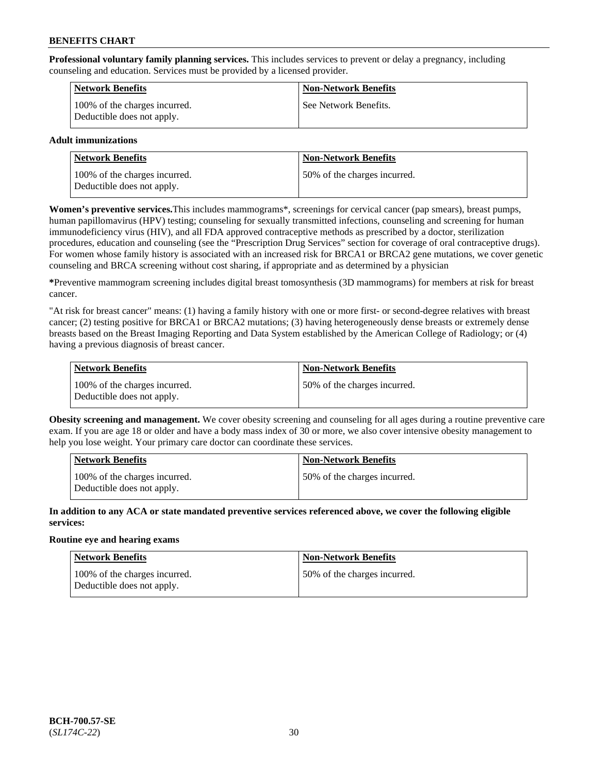**Professional voluntary family planning services.** This includes services to prevent or delay a pregnancy, including counseling and education. Services must be provided by a licensed provider.

| Network Benefits                                            | <b>Non-Network Benefits</b> |
|-------------------------------------------------------------|-----------------------------|
| 100% of the charges incurred.<br>Deductible does not apply. | See Network Benefits.       |

## **Adult immunizations**

| <b>Network Benefits</b>                                     | <b>Non-Network Benefits</b>  |
|-------------------------------------------------------------|------------------------------|
| 100% of the charges incurred.<br>Deductible does not apply. | 50% of the charges incurred. |

**Women's preventive services.**This includes mammograms\*, screenings for cervical cancer (pap smears), breast pumps, human papillomavirus (HPV) testing; counseling for sexually transmitted infections, counseling and screening for human immunodeficiency virus (HIV), and all FDA approved contraceptive methods as prescribed by a doctor, sterilization procedures, education and counseling (see the "Prescription Drug Services" section for coverage of oral contraceptive drugs). For women whose family history is associated with an increased risk for BRCA1 or BRCA2 gene mutations, we cover genetic counseling and BRCA screening without cost sharing, if appropriate and as determined by a physician

**\***Preventive mammogram screening includes digital breast tomosynthesis (3D mammograms) for members at risk for breast cancer.

"At risk for breast cancer" means: (1) having a family history with one or more first- or second-degree relatives with breast cancer; (2) testing positive for BRCA1 or BRCA2 mutations; (3) having heterogeneously dense breasts or extremely dense breasts based on the Breast Imaging Reporting and Data System established by the American College of Radiology; or (4) having a previous diagnosis of breast cancer.

| Network Benefits                                            | <b>Non-Network Benefits</b>  |
|-------------------------------------------------------------|------------------------------|
| 100% of the charges incurred.<br>Deductible does not apply. | 50% of the charges incurred. |

**Obesity screening and management.** We cover obesity screening and counseling for all ages during a routine preventive care exam. If you are age 18 or older and have a body mass index of 30 or more, we also cover intensive obesity management to help you lose weight. Your primary care doctor can coordinate these services.

| Network Benefits                                            | <b>Non-Network Benefits</b>  |
|-------------------------------------------------------------|------------------------------|
| 100% of the charges incurred.<br>Deductible does not apply. | 50% of the charges incurred. |

**In addition to any ACA or state mandated preventive services referenced above, we cover the following eligible services:**

## **Routine eye and hearing exams**

| Network Benefits                                            | <b>Non-Network Benefits</b>  |
|-------------------------------------------------------------|------------------------------|
| 100% of the charges incurred.<br>Deductible does not apply. | 50% of the charges incurred. |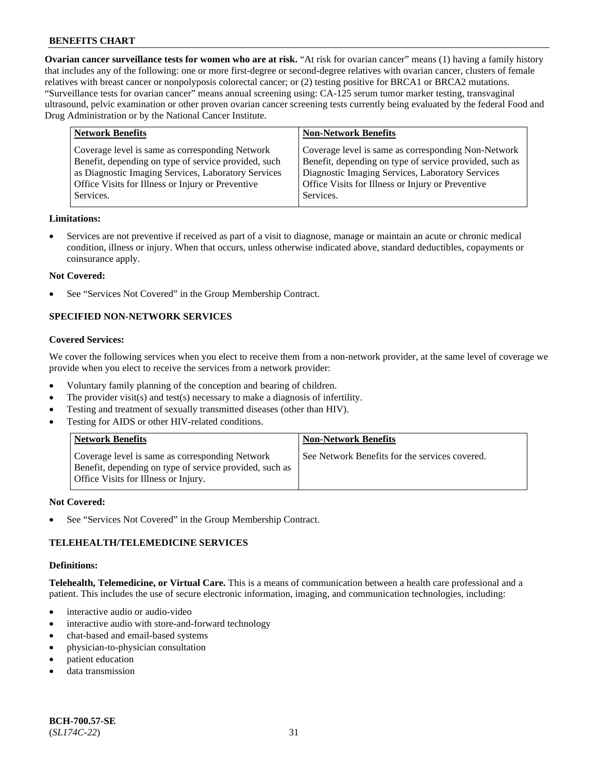**Ovarian cancer surveillance tests for women who are at risk.** "At risk for ovarian cancer" means (1) having a family history that includes any of the following: one or more first-degree or second-degree relatives with ovarian cancer, clusters of female relatives with breast cancer or nonpolyposis colorectal cancer; or (2) testing positive for BRCA1 or BRCA2 mutations. "Surveillance tests for ovarian cancer" means annual screening using: CA-125 serum tumor marker testing, transvaginal ultrasound, pelvic examination or other proven ovarian cancer screening tests currently being evaluated by the federal Food and Drug Administration or by the National Cancer Institute.

| <b>Network Benefits</b>                                                                                                                                                                                                          | <b>Non-Network Benefits</b>                                                                                                                                                                                                          |
|----------------------------------------------------------------------------------------------------------------------------------------------------------------------------------------------------------------------------------|--------------------------------------------------------------------------------------------------------------------------------------------------------------------------------------------------------------------------------------|
| Coverage level is same as corresponding Network<br>Benefit, depending on type of service provided, such<br>as Diagnostic Imaging Services, Laboratory Services<br>Office Visits for Illness or Injury or Preventive<br>Services. | Coverage level is same as corresponding Non-Network<br>Benefit, depending on type of service provided, such as<br>Diagnostic Imaging Services, Laboratory Services<br>Office Visits for Illness or Injury or Preventive<br>Services. |
|                                                                                                                                                                                                                                  |                                                                                                                                                                                                                                      |

### **Limitations:**

• Services are not preventive if received as part of a visit to diagnose, manage or maintain an acute or chronic medical condition, illness or injury. When that occurs, unless otherwise indicated above, standard deductibles, copayments or coinsurance apply.

### **Not Covered:**

See "Services Not Covered" in the Group Membership Contract.

## **SPECIFIED NON-NETWORK SERVICES**

#### **Covered Services:**

We cover the following services when you elect to receive them from a non-network provider, at the same level of coverage we provide when you elect to receive the services from a network provider:

- Voluntary family planning of the conception and bearing of children.
- The provider visit(s) and test(s) necessary to make a diagnosis of infertility.
- Testing and treatment of sexually transmitted diseases (other than HIV).
- Testing for AIDS or other HIV-related conditions.

| <b>Network Benefits</b>                                                                                                                            | <b>Non-Network Benefits</b>                    |
|----------------------------------------------------------------------------------------------------------------------------------------------------|------------------------------------------------|
| Coverage level is same as corresponding Network<br>Benefit, depending on type of service provided, such as<br>Office Visits for Illness or Injury. | See Network Benefits for the services covered. |

#### **Not Covered:**

See "Services Not Covered" in the Group Membership Contract.

## **TELEHEALTH/TELEMEDICINE SERVICES**

#### **Definitions:**

**Telehealth, Telemedicine, or Virtual Care.** This is a means of communication between a health care professional and a patient. This includes the use of secure electronic information, imaging, and communication technologies, including:

- interactive audio or audio-video
- interactive audio with store-and-forward technology
- chat-based and email-based systems
- physician-to-physician consultation
- patient education
- data transmission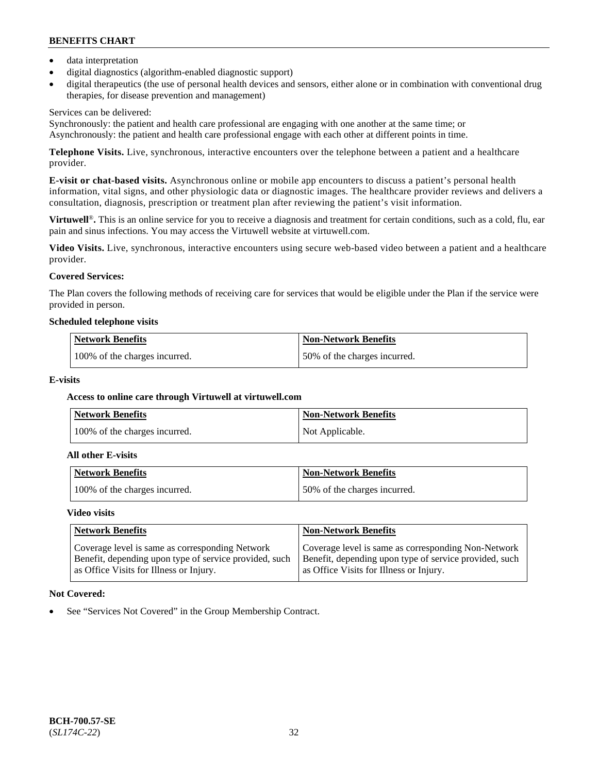- data interpretation
- digital diagnostics (algorithm-enabled diagnostic support)
- digital therapeutics (the use of personal health devices and sensors, either alone or in combination with conventional drug therapies, for disease prevention and management)

## Services can be delivered:

Synchronously: the patient and health care professional are engaging with one another at the same time; or Asynchronously: the patient and health care professional engage with each other at different points in time.

**Telephone Visits.** Live, synchronous, interactive encounters over the telephone between a patient and a healthcare provider.

**E-visit or chat-based visits.** Asynchronous online or mobile app encounters to discuss a patient's personal health information, vital signs, and other physiologic data or diagnostic images. The healthcare provider reviews and delivers a consultation, diagnosis, prescription or treatment plan after reviewing the patient's visit information.

**Virtuwell<sup>®</sup>**. This is an online service for you to receive a diagnosis and treatment for certain conditions, such as a cold, flu, ear pain and sinus infections. You may access the Virtuwell website at [virtuwell.com.](https://www.virtuwell.com/)

**Video Visits.** Live, synchronous, interactive encounters using secure web-based video between a patient and a healthcare provider.

## **Covered Services:**

The Plan covers the following methods of receiving care for services that would be eligible under the Plan if the service were provided in person.

### **Scheduled telephone visits**

| <b>Network Benefits</b>       | <b>Non-Network Benefits</b>  |
|-------------------------------|------------------------------|
| 100% of the charges incurred. | 50% of the charges incurred. |

## **E-visits**

## **Access to online care through Virtuwell at [virtuwell.com](https://www.virtuwell.com/)**

| <b>Network Benefits</b>       | <b>Non-Network Benefits</b> |
|-------------------------------|-----------------------------|
| 100% of the charges incurred. | Not Applicable.             |

#### **All other E-visits**

| Network Benefits              | <b>Non-Network Benefits</b>  |
|-------------------------------|------------------------------|
| 100% of the charges incurred. | 50% of the charges incurred. |

#### **Video visits**

| <b>Network Benefits</b>                                                                                                                              | <b>Non-Network Benefits</b>                                                                                                                              |
|------------------------------------------------------------------------------------------------------------------------------------------------------|----------------------------------------------------------------------------------------------------------------------------------------------------------|
| Coverage level is same as corresponding Network<br>Benefit, depending upon type of service provided, such<br>as Office Visits for Illness or Injury. | Coverage level is same as corresponding Non-Network<br>Benefit, depending upon type of service provided, such<br>as Office Visits for Illness or Injury. |

## **Not Covered:**

See "Services Not Covered" in the Group Membership Contract.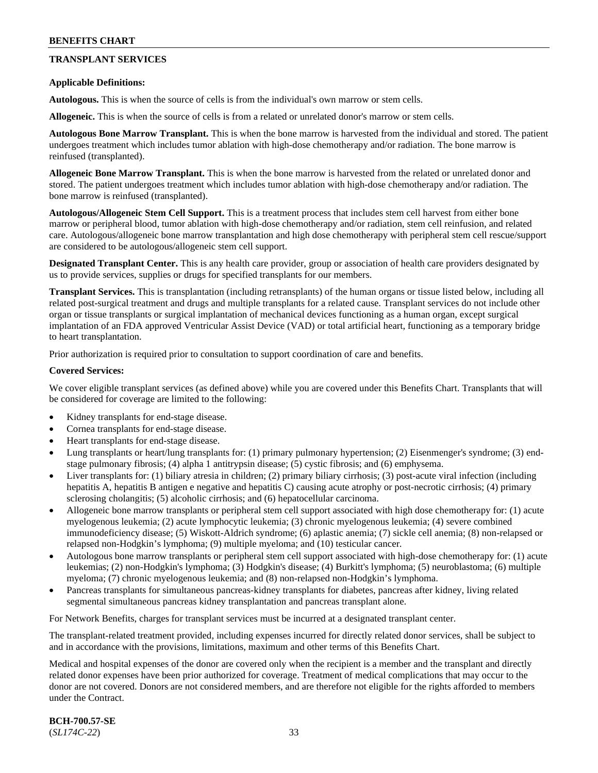## **TRANSPLANT SERVICES**

### **Applicable Definitions:**

**Autologous.** This is when the source of cells is from the individual's own marrow or stem cells.

**Allogeneic.** This is when the source of cells is from a related or unrelated donor's marrow or stem cells.

**Autologous Bone Marrow Transplant.** This is when the bone marrow is harvested from the individual and stored. The patient undergoes treatment which includes tumor ablation with high-dose chemotherapy and/or radiation. The bone marrow is reinfused (transplanted).

**Allogeneic Bone Marrow Transplant.** This is when the bone marrow is harvested from the related or unrelated donor and stored. The patient undergoes treatment which includes tumor ablation with high-dose chemotherapy and/or radiation. The bone marrow is reinfused (transplanted).

**Autologous/Allogeneic Stem Cell Support.** This is a treatment process that includes stem cell harvest from either bone marrow or peripheral blood, tumor ablation with high-dose chemotherapy and/or radiation, stem cell reinfusion, and related care. Autologous/allogeneic bone marrow transplantation and high dose chemotherapy with peripheral stem cell rescue/support are considered to be autologous/allogeneic stem cell support.

**Designated Transplant Center.** This is any health care provider, group or association of health care providers designated by us to provide services, supplies or drugs for specified transplants for our members.

**Transplant Services.** This is transplantation (including retransplants) of the human organs or tissue listed below, including all related post-surgical treatment and drugs and multiple transplants for a related cause. Transplant services do not include other organ or tissue transplants or surgical implantation of mechanical devices functioning as a human organ, except surgical implantation of an FDA approved Ventricular Assist Device (VAD) or total artificial heart, functioning as a temporary bridge to heart transplantation.

Prior authorization is required prior to consultation to support coordination of care and benefits.

### **Covered Services:**

We cover eligible transplant services (as defined above) while you are covered under this Benefits Chart. Transplants that will be considered for coverage are limited to the following:

- Kidney transplants for end-stage disease.
- Cornea transplants for end-stage disease.
- Heart transplants for end-stage disease.
- Lung transplants or heart/lung transplants for: (1) primary pulmonary hypertension; (2) Eisenmenger's syndrome; (3) endstage pulmonary fibrosis; (4) alpha 1 antitrypsin disease; (5) cystic fibrosis; and (6) emphysema.
- Liver transplants for: (1) biliary atresia in children; (2) primary biliary cirrhosis; (3) post-acute viral infection (including hepatitis A, hepatitis B antigen e negative and hepatitis C) causing acute atrophy or post-necrotic cirrhosis; (4) primary sclerosing cholangitis; (5) alcoholic cirrhosis; and (6) hepatocellular carcinoma.
- Allogeneic bone marrow transplants or peripheral stem cell support associated with high dose chemotherapy for: (1) acute myelogenous leukemia; (2) acute lymphocytic leukemia; (3) chronic myelogenous leukemia; (4) severe combined immunodeficiency disease; (5) Wiskott-Aldrich syndrome; (6) aplastic anemia; (7) sickle cell anemia; (8) non-relapsed or relapsed non-Hodgkin's lymphoma; (9) multiple myeloma; and (10) testicular cancer.
- Autologous bone marrow transplants or peripheral stem cell support associated with high-dose chemotherapy for: (1) acute leukemias; (2) non-Hodgkin's lymphoma; (3) Hodgkin's disease; (4) Burkitt's lymphoma; (5) neuroblastoma; (6) multiple myeloma; (7) chronic myelogenous leukemia; and (8) non-relapsed non-Hodgkin's lymphoma.
- Pancreas transplants for simultaneous pancreas-kidney transplants for diabetes, pancreas after kidney, living related segmental simultaneous pancreas kidney transplantation and pancreas transplant alone.

For Network Benefits, charges for transplant services must be incurred at a designated transplant center.

The transplant-related treatment provided, including expenses incurred for directly related donor services, shall be subject to and in accordance with the provisions, limitations, maximum and other terms of this Benefits Chart.

Medical and hospital expenses of the donor are covered only when the recipient is a member and the transplant and directly related donor expenses have been prior authorized for coverage. Treatment of medical complications that may occur to the donor are not covered. Donors are not considered members, and are therefore not eligible for the rights afforded to members under the Contract.